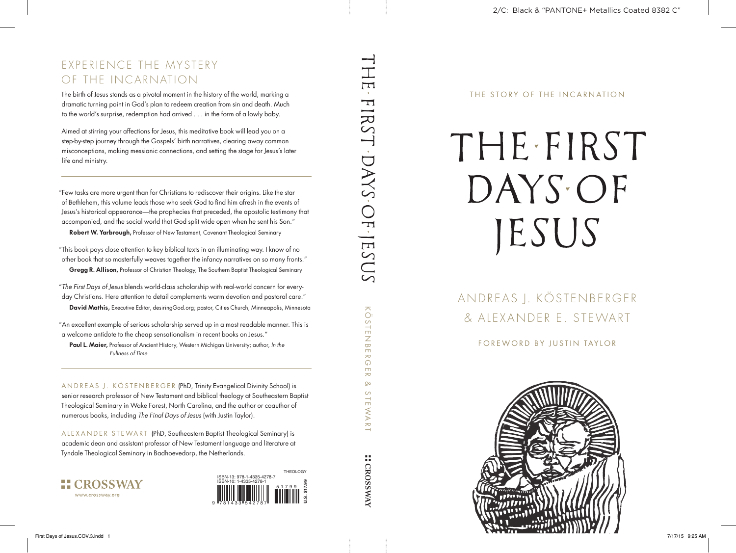THE STORY OF THE INCARNATION

# THE.FIRST DAYS OF JESUS

### ANDREAS J. KÖSTENBERGER & ALEXANDER E. STEWART

FOREWORD BY JUSTIN TAYLOR

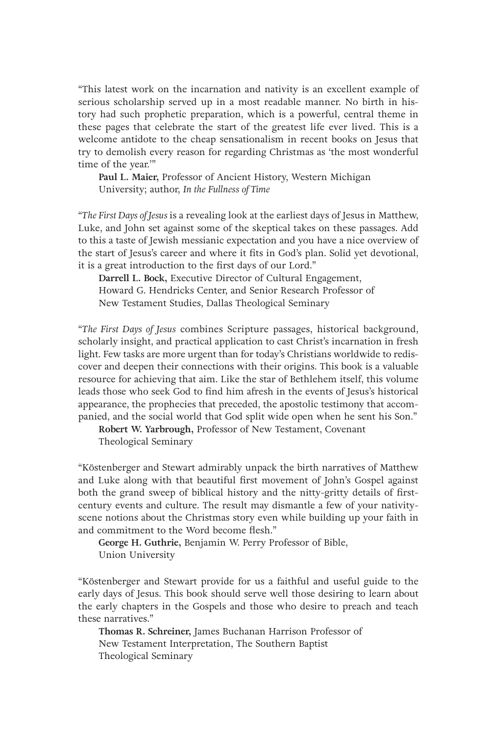"This latest work on the incarnation and nativity is an excellent example of serious scholarship served up in a most readable manner. No birth in history had such prophetic preparation, which is a powerful, central theme in these pages that celebrate the start of the greatest life ever lived. This is a welcome antidote to the cheap sensationalism in recent books on Jesus that try to demolish every reason for regarding Christmas as 'the most wonderful time of the year.'"

**Paul L. Maier,** Professor of Ancient History, Western Michigan University; author, *In the Fullness of Time*

"*The First Days of Jesus* is a revealing look at the earliest days of Jesus in Matthew, Luke, and John set against some of the skeptical takes on these passages. Add to this a taste of Jewish messianic expectation and you have a nice overview of the start of Jesus's career and where it fits in God's plan. Solid yet devotional, it is a great introduction to the first days of our Lord."

**Darrell L. Bock,** Executive Director of Cultural Engagement, Howard G. Hendricks Center, and Senior Research Professor of New Testament Studies, Dallas Theological Seminary

"*The First Days of Jesus* combines Scripture passages, historical background, scholarly insight, and practical application to cast Christ's incarnation in fresh light. Few tasks are more urgent than for today's Christians worldwide to rediscover and deepen their connections with their origins. This book is a valuable resource for achieving that aim. Like the star of Bethlehem itself, this volume leads those who seek God to find him afresh in the events of Jesus's historical appearance, the prophecies that preceded, the apostolic testimony that accompanied, and the social world that God split wide open when he sent his Son."

**Robert W. Yarbrough,** Professor of New Testament, Covenant Theological Seminary

"Köstenberger and Stewart admirably unpack the birth narratives of Matthew and Luke along with that beautiful first movement of John's Gospel against both the grand sweep of biblical history and the nitty-gritty details of firstcentury events and culture. The result may dismantle a few of your nativityscene notions about the Christmas story even while building up your faith in and commitment to the Word become flesh."

**George H. Guthrie,** Benjamin W. Perry Professor of Bible, Union University

"Köstenberger and Stewart provide for us a faithful and useful guide to the early days of Jesus. This book should serve well those desiring to learn about the early chapters in the Gospels and those who desire to preach and teach these narratives."

**Thomas R. Schreiner,** James Buchanan Harrison Professor of New Testament Interpretation, The Southern Baptist Theological Seminary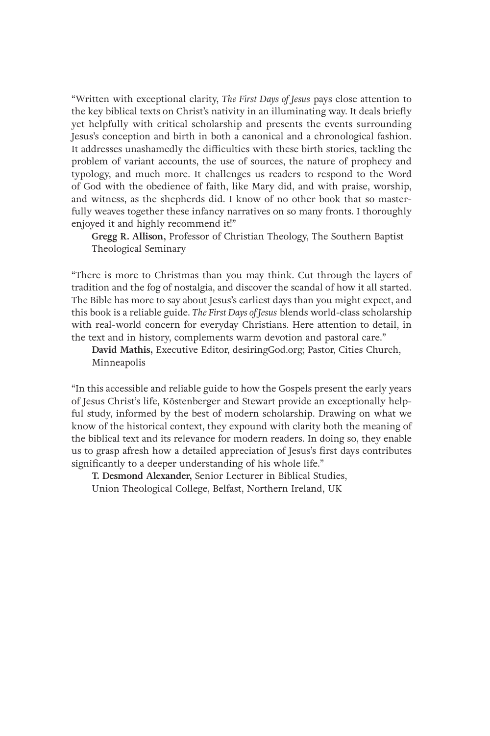"Written with exceptional clarity, *The First Days of Jesus* pays close attention to the key biblical texts on Christ's nativity in an illuminating way. It deals briefly yet helpfully with critical scholarship and presents the events surrounding Jesus's conception and birth in both a canonical and a chronological fashion. It addresses unashamedly the difficulties with these birth stories, tackling the problem of variant accounts, the use of sources, the nature of prophecy and typology, and much more. It challenges us readers to respond to the Word of God with the obedience of faith, like Mary did, and with praise, worship, and witness, as the shepherds did. I know of no other book that so masterfully weaves together these infancy narratives on so many fronts. I thoroughly enjoyed it and highly recommend it!"

**Gregg R. Allison,** Professor of Christian Theology, The Southern Baptist Theological Seminary

"There is more to Christmas than you may think. Cut through the layers of tradition and the fog of nostalgia, and discover the scandal of how it all started. The Bible has more to say about Jesus's earliest days than you might expect, and this book is a reliable guide. *The First Days of Jesus* blends world-class scholarship with real-world concern for everyday Christians. Here attention to detail, in the text and in history, complements warm devotion and pastoral care."

**David Mathis,** Executive Editor, desiringGod.org; Pastor, Cities Church, Minneapolis

"In this accessible and reliable guide to how the Gospels present the early years of Jesus Christ's life, Köstenberger and Stewart provide an exceptionally helpful study, informed by the best of modern scholarship. Drawing on what we know of the historical context, they expound with clarity both the meaning of the biblical text and its relevance for modern readers. In doing so, they enable us to grasp afresh how a detailed appreciation of Jesus's first days contributes significantly to a deeper understanding of his whole life."

**T. Desmond Alexander,** Senior Lecturer in Biblical Studies, Union Theological College, Belfast, Northern Ireland, UK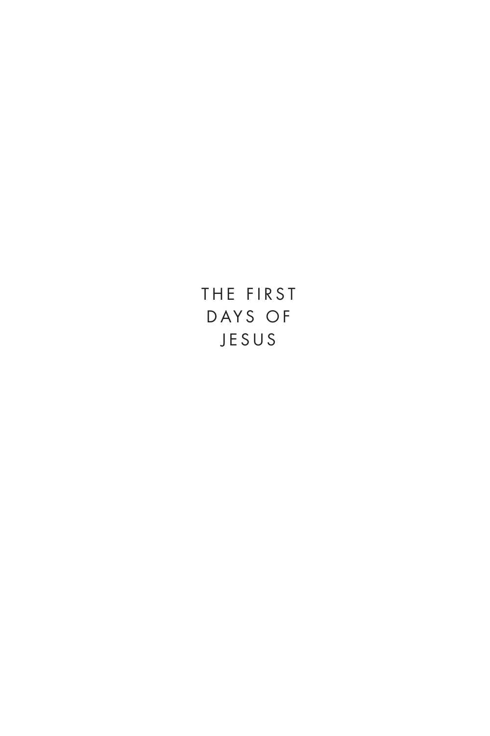THE FIRST DAYS OF JESUS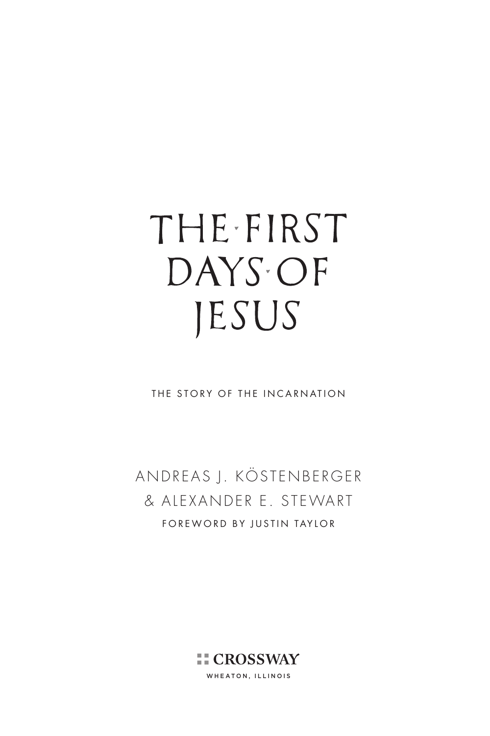## THE FIRST DAYS OF JESUS

THE STORY OF THE INCARNATION

ANDREAS J. KÖSTENBERGER & ALEXANDER E. STEWART FOREWORD BY JUSTIN TAYLOR

> **EL CROSSWAY** WHEATON, ILLINOIS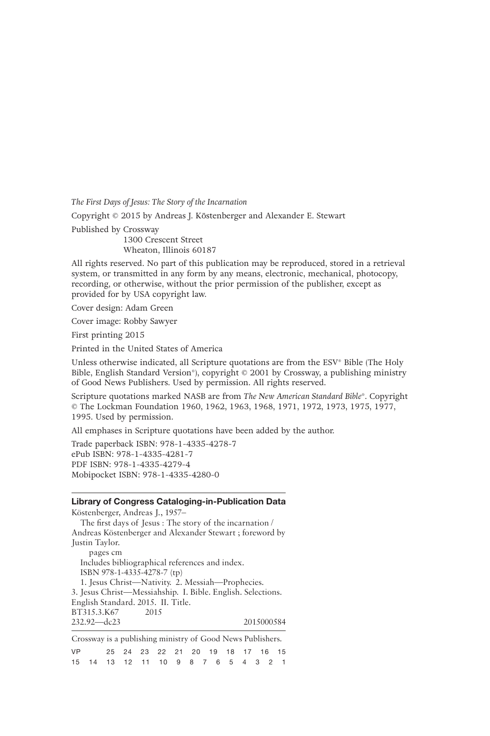*The First Days of Jesus: The Story of the Incarnation*

Copyright © 2015 by Andreas J. Köstenberger and Alexander E. Stewart

Published by Crossway

1300 Crescent Street Wheaton, Illinois 60187

All rights reserved. No part of this publication may be reproduced, stored in a retrieval system, or transmitted in any form by any means, electronic, mechanical, photocopy, recording, or otherwise, without the prior permission of the publisher, except as provided for by USA copyright law.

Cover design: Adam Green

Cover image: Robby Sawyer

First printing 2015

Printed in the United States of America

Unless otherwise indicated, all Scripture quotations are from the ESV® Bible (The Holy Bible, English Standard Version®), copyright © 2001 by Crossway, a publishing ministry of Good News Publishers. Used by permission. All rights reserved.

Scripture quotations marked NASB are from *The New American Standard Bible*®. Copyright © The Lockman Foundation 1960, 1962, 1963, 1968, 1971, 1972, 1973, 1975, 1977, 1995. Used by permission.

All emphases in Scripture quotations have been added by the author.

Trade paperback ISBN: 978-1-4335-4278-7 ePub ISBN: 978-1-4335-4281-7 PDF ISBN: 978-1-4335-4279-4 Mobipocket ISBN: 978-1-4335-4280-0

#### **Library of Congress Cataloging-in-Publication Data**

Köstenberger, Andreas J., 1957– The first days of Jesus : The story of the incarnation / Andreas Köstenberger and Alexander Stewart ; foreword by Justin Taylor. pages cm Includes bibliographical references and index. ISBN 978-1-4335-4278-7 (tp) 1. Jesus Christ—Nativity. 2. Messiah—Prophecies. 3. Jesus Christ—Messiahship. I. Bible. English. Selections. English Standard. 2015. II. Title. BT315.3.K67 2015 232.92—dc23 2015000584 Crossway is a publishing ministry of Good News Publishers.

|           | Crossway is a publishing ministry of Good INCWS I uphshels. |  |                                            |  |  |  |  |  |
|-----------|-------------------------------------------------------------|--|--------------------------------------------|--|--|--|--|--|
| <b>VP</b> |                                                             |  | 25  24  23  22  21  20  19  18  17  16  15 |  |  |  |  |  |
|           | 15  14  13  12  11  10  9  8  7  6  5  4  3  2  1           |  |                                            |  |  |  |  |  |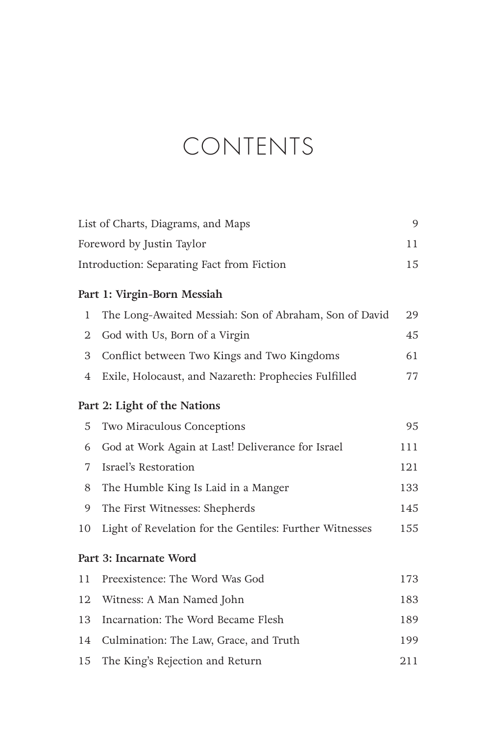### CONTENTS

| List of Charts, Diagrams, and Maps<br>9          |                                                         |     |  |  |
|--------------------------------------------------|---------------------------------------------------------|-----|--|--|
| Foreword by Justin Taylor<br>11                  |                                                         |     |  |  |
| 15<br>Introduction: Separating Fact from Fiction |                                                         |     |  |  |
|                                                  | Part 1: Virgin-Born Messiah                             |     |  |  |
| $\mathbf{1}$                                     | The Long-Awaited Messiah: Son of Abraham, Son of David  | 29  |  |  |
| 2                                                | God with Us, Born of a Virgin                           | 45  |  |  |
| 3                                                | Conflict between Two Kings and Two Kingdoms             | 61  |  |  |
| 4                                                | Exile, Holocaust, and Nazareth: Prophecies Fulfilled    | 77  |  |  |
|                                                  | Part 2: Light of the Nations                            |     |  |  |
| 5                                                | Two Miraculous Conceptions                              | 95  |  |  |
| 6                                                | God at Work Again at Last! Deliverance for Israel       | 111 |  |  |
| 7                                                | Israel's Restoration                                    | 121 |  |  |
| 8                                                | The Humble King Is Laid in a Manger                     | 133 |  |  |
| 9                                                | The First Witnesses: Shepherds                          | 145 |  |  |
| 10                                               | Light of Revelation for the Gentiles: Further Witnesses | 155 |  |  |
|                                                  | Part 3: Incarnate Word                                  |     |  |  |
| 11                                               | Preexistence: The Word Was God                          | 173 |  |  |
| 12                                               | Witness: A Man Named John                               | 183 |  |  |
| 13                                               | Incarnation: The Word Became Flesh                      | 189 |  |  |
| 14                                               | Culmination: The Law, Grace, and Truth                  | 199 |  |  |
| 15                                               | The King's Rejection and Return                         | 211 |  |  |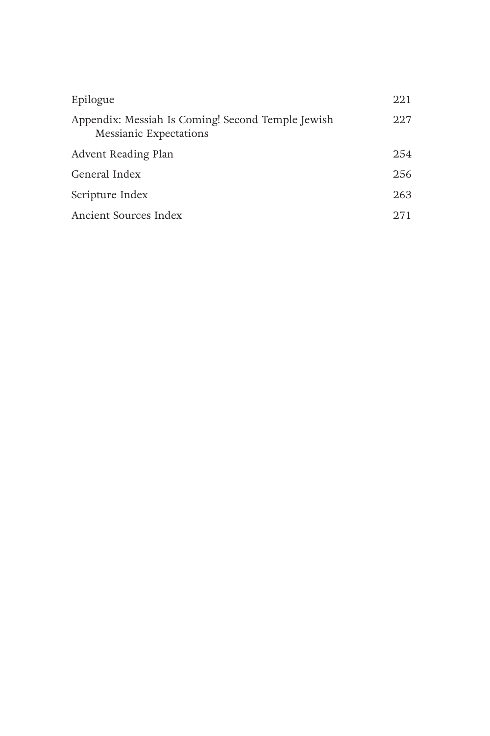| Epilogue                                                                           | 221  |
|------------------------------------------------------------------------------------|------|
| Appendix: Messiah Is Coming! Second Temple Jewish<br><b>Messianic Expectations</b> | 227  |
| Advent Reading Plan                                                                | 254  |
| General Index                                                                      | 256  |
| Scripture Index                                                                    | 263  |
| Ancient Sources Index                                                              | 2.71 |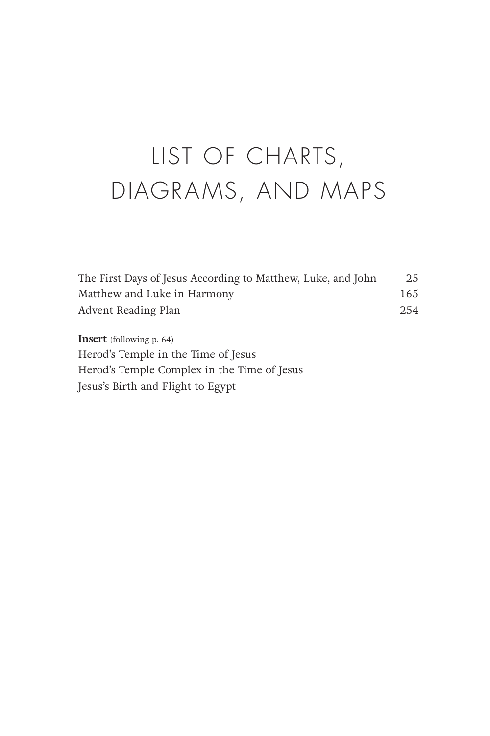### LIST OF CHARTS, DIAGRAMS, AND MAPS

| The First Days of Jesus According to Matthew, Luke, and John | 25  |
|--------------------------------------------------------------|-----|
| Matthew and Luke in Harmony                                  | 165 |
| Advent Reading Plan                                          | 254 |

**Insert** (following p. 64) Herod's Temple in the Time of Jesus Herod's Temple Complex in the Time of Jesus Jesus's Birth and Flight to Egypt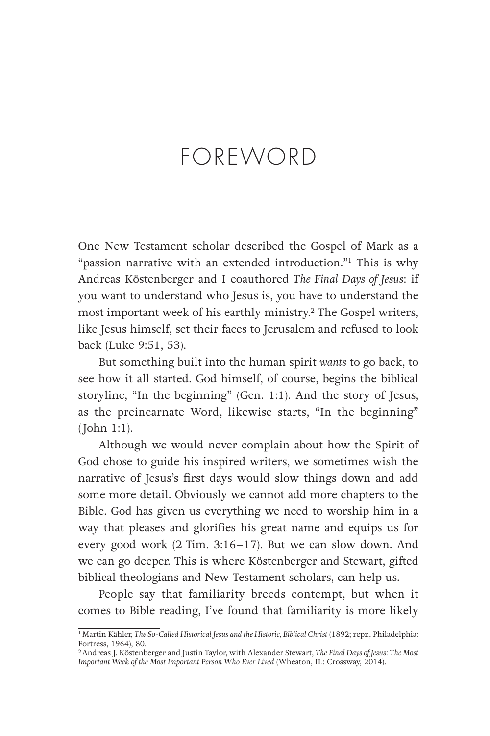### FOREWORD

One New Testament scholar described the Gospel of Mark as a "passion narrative with an extended introduction."<sup>1</sup> This is why Andreas Köstenberger and I coauthored *The Final Days of Jesus*: if you want to understand who Jesus is, you have to understand the most important week of his earthly ministry.2 The Gospel writers, like Jesus himself, set their faces to Jerusalem and refused to look back (Luke 9:51, 53).

But something built into the human spirit *wants* to go back, to see how it all started. God himself, of course, begins the biblical storyline, "In the beginning" (Gen. 1:1). And the story of Jesus, as the preincarnate Word, likewise starts, "In the beginning" (John 1:1).

Although we would never complain about how the Spirit of God chose to guide his inspired writers, we sometimes wish the narrative of Jesus's first days would slow things down and add some more detail. Obviously we cannot add more chapters to the Bible. God has given us everything we need to worship him in a way that pleases and glorifies his great name and equips us for every good work (2 Tim. 3:16–17). But we can slow down. And we can go deeper. This is where Köstenberger and Stewart, gifted biblical theologians and New Testament scholars, can help us.

People say that familiarity breeds contempt, but when it comes to Bible reading, I've found that familiarity is more likely

<sup>&</sup>lt;sup>1</sup> Martin Kähler, *The So-Called Historical Jesus and the Historic*, Biblical Christ (1892; repr., Philadelphia: Fortress, 1964), 80.

<sup>2</sup>Andreas J. Köstenberger and Justin Taylor, with Alexander Stewart, *The Final Days of Jesus: The Most Important Week of the Most Important Person Who Ever Lived* (Wheaton, IL: Crossway, 2014).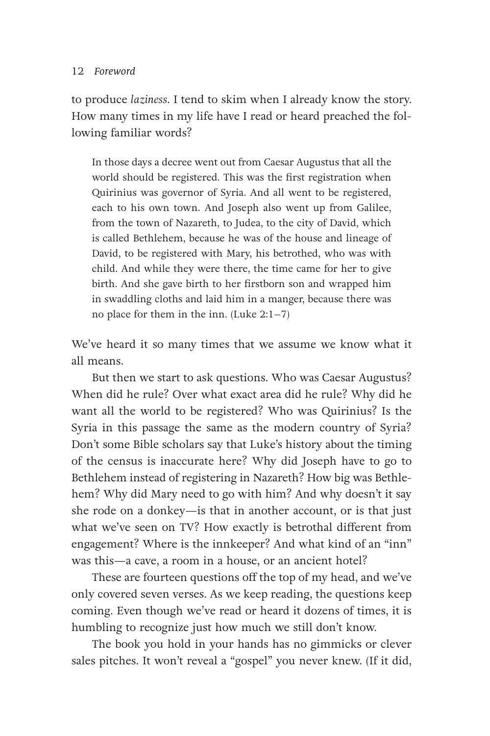#### 12 Foreword

to produce *laziness*. I tend to skim when I already know the story. How many times in my life have I read or heard preached the following familiar words?

In those days a decree went out from Caesar Augustus that all the world should be registered. This was the first registration when Quirinius was governor of Syria. And all went to be registered, each to his own town. And Joseph also went up from Galilee, from the town of Nazareth, to Judea, to the city of David, which is called Bethlehem, because he was of the house and lineage of David, to be registered with Mary, his betrothed, who was with child. And while they were there, the time came for her to give birth. And she gave birth to her firstborn son and wrapped him in swaddling cloths and laid him in a manger, because there was no place for them in the inn. (Luke 2:1–7)

We've heard it so many times that we assume we know what it all means.

But then we start to ask questions. Who was Caesar Augustus? When did he rule? Over what exact area did he rule? Why did he want all the world to be registered? Who was Quirinius? Is the Syria in this passage the same as the modern country of Syria? Don't some Bible scholars say that Luke's history about the timing of the census is inaccurate here? Why did Joseph have to go to Bethlehem instead of registering in Nazareth? How big was Bethlehem? Why did Mary need to go with him? And why doesn't it say she rode on a donkey—is that in another account, or is that just what we've seen on TV? How exactly is betrothal different from engagement? Where is the innkeeper? And what kind of an "inn" was this—a cave, a room in a house, or an ancient hotel?

These are fourteen questions off the top of my head, and we've only covered seven verses. As we keep reading, the questions keep coming. Even though we've read or heard it dozens of times, it is humbling to recognize just how much we still don't know.

The book you hold in your hands has no gimmicks or clever sales pitches. It won't reveal a "gospel" you never knew. (If it did,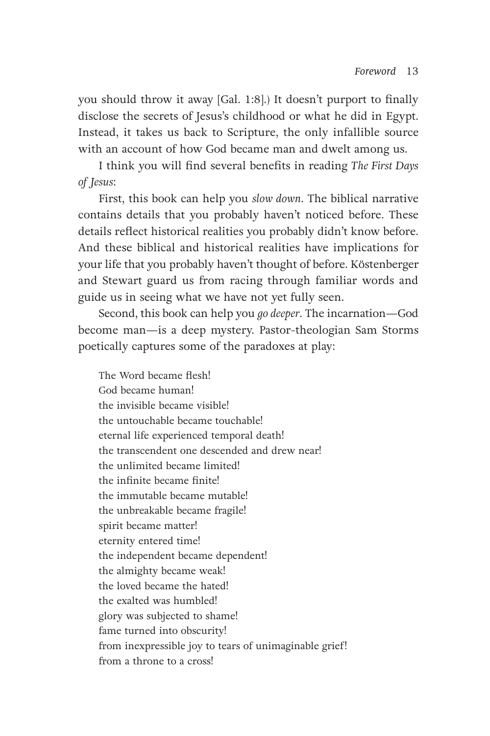you should throw it away [Gal. 1:8].) It doesn't purport to finally disclose the secrets of Jesus's childhood or what he did in Egypt. Instead, it takes us back to Scripture, the only infallible source with an account of how God became man and dwelt among us.

I think you will find several benefits in reading *The First Days of Jesus*:

First, this book can help you *slow down*. The biblical narrative contains details that you probably haven't noticed before. These details reflect historical realities you probably didn't know before. And these biblical and historical realities have implications for your life that you probably haven't thought of before. Köstenberger and Stewart guard us from racing through familiar words and guide us in seeing what we have not yet fully seen.

Second, this book can help you *go deeper*. The incarnation—God become man—is a deep mystery. Pastor-theologian Sam Storms poetically captures some of the paradoxes at play:

The Word became flesh! God became human! the invisible became visible! the untouchable became touchable! eternal life experienced temporal death! the transcendent one descended and drew near! the unlimited became limited! the infinite became finite! the immutable became mutable! the unbreakable became fragile! spirit became matter! eternity entered time! the independent became dependent! the almighty became weak! the loved became the hated! the exalted was humbled! glory was subjected to shame! fame turned into obscurity! from inexpressible joy to tears of unimaginable grief! from a throne to a cross!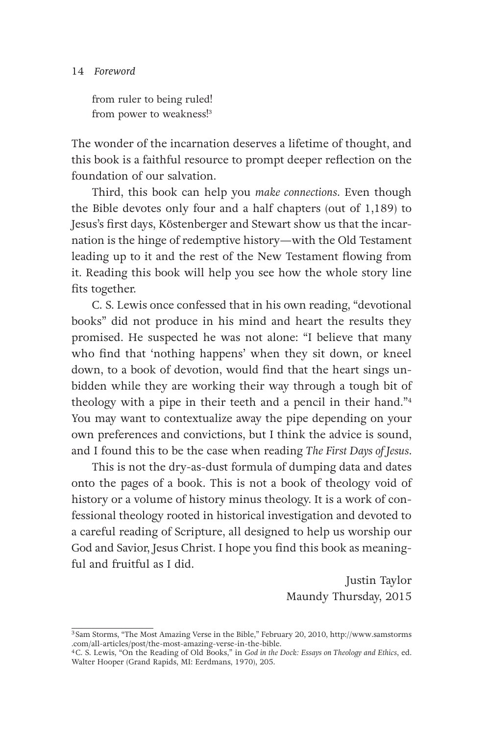#### 14 Foreword

from ruler to being ruled! from power to weakness!3

The wonder of the incarnation deserves a lifetime of thought, and this book is a faithful resource to prompt deeper reflection on the foundation of our salvation.

Third, this book can help you *make connections*. Even though the Bible devotes only four and a half chapters (out of 1,189) to Jesus's first days, Köstenberger and Stewart show us that the incarnation is the hinge of redemptive history—with the Old Testament leading up to it and the rest of the New Testament flowing from it. Reading this book will help you see how the whole story line fits together.

C. S. Lewis once confessed that in his own reading, "devotional books" did not produce in his mind and heart the results they promised. He suspected he was not alone: "I believe that many who find that 'nothing happens' when they sit down, or kneel down, to a book of devotion, would find that the heart sings unbidden while they are working their way through a tough bit of theology with a pipe in their teeth and a pencil in their hand."4 You may want to contextualize away the pipe depending on your own preferences and convictions, but I think the advice is sound, and I found this to be the case when reading *The First Days of Jesus*.

This is not the dry-as-dust formula of dumping data and dates onto the pages of a book. This is not a book of theology void of history or a volume of history minus theology. It is a work of confessional theology rooted in historical investigation and devoted to a careful reading of Scripture, all designed to help us worship our God and Savior, Jesus Christ. I hope you find this book as meaningful and fruitful as I did.

> Justin Taylor Maundy Thursday, 2015

<sup>3</sup> Sam Storms, "The Most Amazing Verse in the Bible," February 20, 2010, http://www.samstorms .com/all-articles/post/the-most-amazing-verse-in-the-bible. 4C. S. Lewis, "On the Reading of Old Books," in *God in the Dock: Essays on Theology and Ethics*, ed.

Walter Hooper (Grand Rapids, MI: Eerdmans, 1970), 205.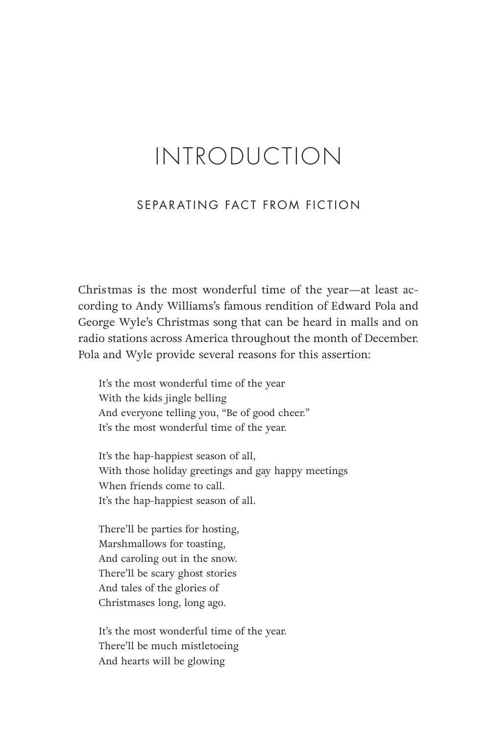### INTRODUCTION

#### SEPARATING FACT FROM FICTION

Christmas is the most wonderful time of the year—at least according to Andy Williams's famous rendition of Edward Pola and George Wyle's Christmas song that can be heard in malls and on radio stations across America throughout the month of December. Pola and Wyle provide several reasons for this assertion:

It's the most wonderful time of the year With the kids jingle belling And everyone telling you, "Be of good cheer." It's the most wonderful time of the year.

It's the hap-happiest season of all, With those holiday greetings and gay happy meetings When friends come to call. It's the hap-happiest season of all.

There'll be parties for hosting, Marshmallows for toasting, And caroling out in the snow. There'll be scary ghost stories And tales of the glories of Christmases long, long ago.

It's the most wonderful time of the year. There'll be much mistletoeing And hearts will be glowing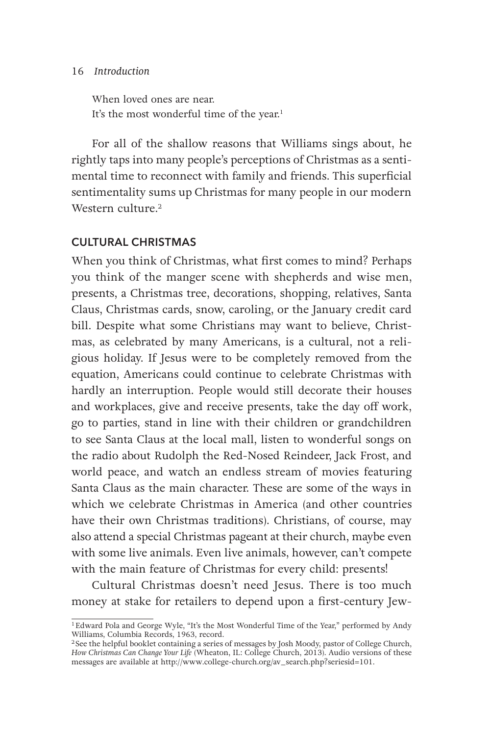#### 16 Introduction

When loved ones are near. It's the most wonderful time of the year.<sup>1</sup>

For all of the shallow reasons that Williams sings about, he rightly taps into many people's perceptions of Christmas as a sentimental time to reconnect with family and friends. This superficial sentimentality sums up Christmas for many people in our modern Western culture.<sup>2</sup>

#### **CULTURAL CHRISTMAS**

When you think of Christmas, what first comes to mind? Perhaps you think of the manger scene with shepherds and wise men, presents, a Christmas tree, decorations, shopping, relatives, Santa Claus, Christmas cards, snow, caroling, or the January credit card bill. Despite what some Christians may want to believe, Christmas, as celebrated by many Americans, is a cultural, not a religious holiday. If Jesus were to be completely removed from the equation, Americans could continue to celebrate Christmas with hardly an interruption. People would still decorate their houses and workplaces, give and receive presents, take the day off work, go to parties, stand in line with their children or grandchildren to see Santa Claus at the local mall, listen to wonderful songs on the radio about Rudolph the Red-Nosed Reindeer, Jack Frost, and world peace, and watch an endless stream of movies featuring Santa Claus as the main character. These are some of the ways in which we celebrate Christmas in America (and other countries have their own Christmas traditions). Christians, of course, may also attend a special Christmas pageant at their church, maybe even with some live animals. Even live animals, however, can't compete with the main feature of Christmas for every child: presents!

Cultural Christmas doesn't need Jesus. There is too much money at stake for retailers to depend upon a first-century Jew-

<sup>1</sup>Edward Pola and George Wyle, "It's the Most Wonderful Time of the Year," performed by Andy Williams, Columbia Records, 1963, record.

<sup>2</sup> See the helpful booklet containing a series of messages by Josh Moody, pastor of College Church, *How Christmas Can Change Your Life* (Wheaton, IL: College Church, 2013). Audio versions of these messages are available at http://www.college-church.org/av\_search.php?seriesid=101.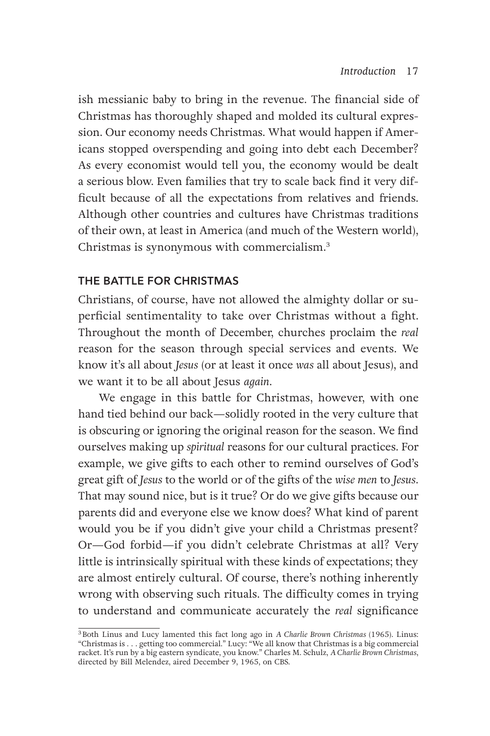ish messianic baby to bring in the revenue. The financial side of Christmas has thoroughly shaped and molded its cultural expression. Our economy needs Christmas. What would happen if Americans stopped overspending and going into debt each December? As every economist would tell you, the economy would be dealt a serious blow. Even families that try to scale back find it very difficult because of all the expectations from relatives and friends. Although other countries and cultures have Christmas traditions of their own, at least in America (and much of the Western world), Christmas is synonymous with commercialism.3

#### **THE BATTLE FOR CHRISTMAS**

Christians, of course, have not allowed the almighty dollar or superficial sentimentality to take over Christmas without a fight. Throughout the month of December, churches proclaim the *real* reason for the season through special services and events. We know it's all about *Jesus* (or at least it once *was* all about Jesus), and we want it to be all about Jesus *again*.

We engage in this battle for Christmas, however, with one hand tied behind our back—solidly rooted in the very culture that is obscuring or ignoring the original reason for the season. We find ourselves making up *spiritual* reasons for our cultural practices. For example, we give gifts to each other to remind ourselves of God's great gift of *Jesus* to the world or of the gifts of the *wise men* to *Jesus*. That may sound nice, but is it true? Or do we give gifts because our parents did and everyone else we know does? What kind of parent would you be if you didn't give your child a Christmas present? Or—God forbid—if you didn't celebrate Christmas at all? Very little is intrinsically spiritual with these kinds of expectations; they are almost entirely cultural. Of course, there's nothing inherently wrong with observing such rituals. The difficulty comes in trying to understand and communicate accurately the *real* significance

<sup>3</sup>Both Linus and Lucy lamented this fact long ago in *A Charlie Brown Christmas* (1965). Linus: "Christmas is . . . getting too commercial." Lucy: "We all know that Christmas is a big commercial racket. It's run by a big eastern syndicate, you know." Charles M. Schulz, *A Charlie Brown Christmas*, directed by Bill Melendez, aired December 9, 1965, on CBS.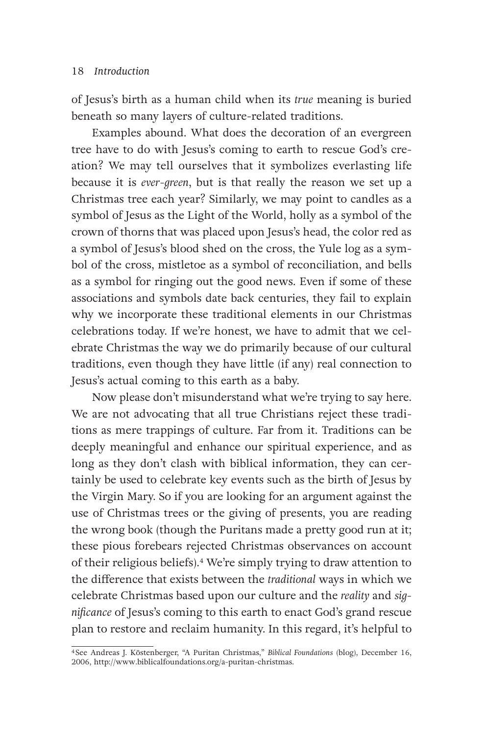of Jesus's birth as a human child when its *true* meaning is buried beneath so many layers of culture-related traditions.

Examples abound. What does the decoration of an evergreen tree have to do with Jesus's coming to earth to rescue God's creation? We may tell ourselves that it symbolizes everlasting life because it is *ever-green*, but is that really the reason we set up a Christmas tree each year? Similarly, we may point to candles as a symbol of Jesus as the Light of the World, holly as a symbol of the crown of thorns that was placed upon Jesus's head, the color red as a symbol of Jesus's blood shed on the cross, the Yule log as a symbol of the cross, mistletoe as a symbol of reconciliation, and bells as a symbol for ringing out the good news. Even if some of these associations and symbols date back centuries, they fail to explain why we incorporate these traditional elements in our Christmas celebrations today. If we're honest, we have to admit that we celebrate Christmas the way we do primarily because of our cultural traditions, even though they have little (if any) real connection to Jesus's actual coming to this earth as a baby.

Now please don't misunderstand what we're trying to say here. We are not advocating that all true Christians reject these traditions as mere trappings of culture. Far from it. Traditions can be deeply meaningful and enhance our spiritual experience, and as long as they don't clash with biblical information, they can certainly be used to celebrate key events such as the birth of Jesus by the Virgin Mary. So if you are looking for an argument against the use of Christmas trees or the giving of presents, you are reading the wrong book (though the Puritans made a pretty good run at it; these pious forebears rejected Christmas observances on account of their religious beliefs).4 We're simply trying to draw attention to the difference that exists between the *traditional* ways in which we celebrate Christmas based upon our culture and the *reality* and *significance* of Jesus's coming to this earth to enact God's grand rescue plan to restore and reclaim humanity. In this regard, it's helpful to

<sup>4</sup> See Andreas J. Köstenberger, "A Puritan Christmas," *Biblical Foundations* (blog), December 16, 2006, http://www.biblicalfoundations.org/a-puritan-christmas.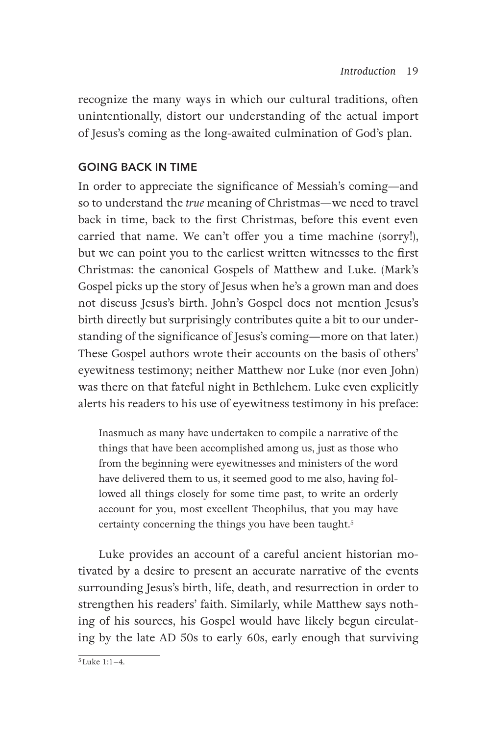recognize the many ways in which our cultural traditions, often unintentionally, distort our understanding of the actual import of Jesus's coming as the long-awaited culmination of God's plan.

#### **GOING BACK IN TIME**

In order to appreciate the significance of Messiah's coming—and so to understand the *true* meaning of Christmas—we need to travel back in time, back to the first Christmas, before this event even carried that name. We can't offer you a time machine (sorry!), but we can point you to the earliest written witnesses to the first Christmas: the canonical Gospels of Matthew and Luke. (Mark's Gospel picks up the story of Jesus when he's a grown man and does not discuss Jesus's birth. John's Gospel does not mention Jesus's birth directly but surprisingly contributes quite a bit to our understanding of the significance of Jesus's coming—more on that later.) These Gospel authors wrote their accounts on the basis of others' eyewitness testimony; neither Matthew nor Luke (nor even John) was there on that fateful night in Bethlehem. Luke even explicitly alerts his readers to his use of eyewitness testimony in his preface:

Inasmuch as many have undertaken to compile a narrative of the things that have been accomplished among us, just as those who from the beginning were eyewitnesses and ministers of the word have delivered them to us, it seemed good to me also, having followed all things closely for some time past, to write an orderly account for you, most excellent Theophilus, that you may have certainty concerning the things you have been taught.<sup>5</sup>

Luke provides an account of a careful ancient historian motivated by a desire to present an accurate narrative of the events surrounding Jesus's birth, life, death, and resurrection in order to strengthen his readers' faith. Similarly, while Matthew says nothing of his sources, his Gospel would have likely begun circulating by the late AD 50s to early 60s, early enough that surviving

 $5$ Luke 1:1–4.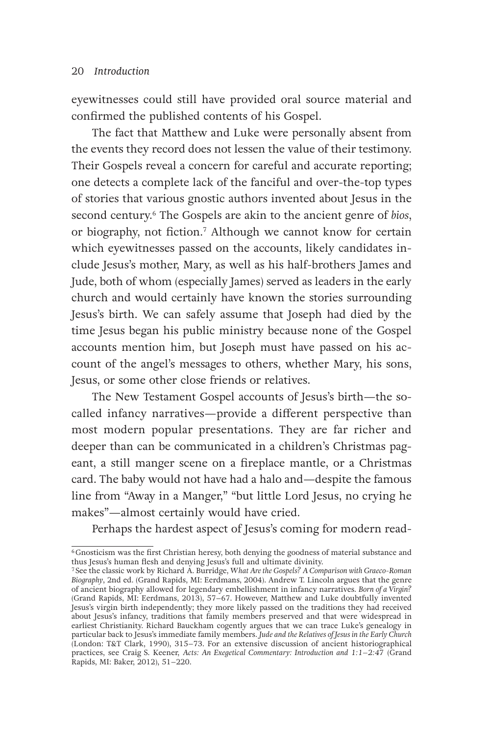#### 20 Introduction

eyewitnesses could still have provided oral source material and confirmed the published contents of his Gospel.

The fact that Matthew and Luke were personally absent from the events they record does not lessen the value of their testimony. Their Gospels reveal a concern for careful and accurate reporting; one detects a complete lack of the fanciful and over-the-top types of stories that various gnostic authors invented about Jesus in the second century.6 The Gospels are akin to the ancient genre of *bios*, or biography, not fiction.7 Although we cannot know for certain which eyewitnesses passed on the accounts, likely candidates include Jesus's mother, Mary, as well as his half-brothers James and Jude, both of whom (especially James) served as leaders in the early church and would certainly have known the stories surrounding Jesus's birth. We can safely assume that Joseph had died by the time Jesus began his public ministry because none of the Gospel accounts mention him, but Joseph must have passed on his account of the angel's messages to others, whether Mary, his sons, Jesus, or some other close friends or relatives.

The New Testament Gospel accounts of Jesus's birth—the socalled infancy narratives—provide a different perspective than most modern popular presentations. They are far richer and deeper than can be communicated in a children's Christmas pageant, a still manger scene on a fireplace mantle, or a Christmas card. The baby would not have had a halo and—despite the famous line from "Away in a Manger," "but little Lord Jesus, no crying he makes"—almost certainly would have cried.

Perhaps the hardest aspect of Jesus's coming for modern read-

<sup>6</sup>Gnosticism was the first Christian heresy, both denying the goodness of material substance and thus Jesus's human flesh and denying Jesus's full and ultimate divinity.

<sup>7</sup> See the classic work by Richard A. Burridge, *What Are the Gospels? A Comparison with Graeco-Roman Biography*, 2nd ed. (Grand Rapids, MI: Eerdmans, 2004). Andrew T. Lincoln argues that the genre of ancient biography allowed for legendary embellishment in infancy narratives. *Born of a Virgin?* (Grand Rapids, MI: Eerdmans, 2013), 57–67. However, Matthew and Luke doubtfully invented Jesus's virgin birth independently; they more likely passed on the traditions they had received about Jesus's infancy, traditions that family members preserved and that were widespread in earliest Christianity. Richard Bauckham cogently argues that we can trace Luke's genealogy in particular back to Jesus's immediate family members. *Jude and the Relatives of Jesus in the Early Church* (London: T&T Clark, 1990), 315–73. For an extensive discussion of ancient historiographical practices, see Craig S. Keener, *Acts: An Exegetical Commentary: Introduction and 1:1–2:47* (Grand Rapids, MI: Baker, 2012), 51–220.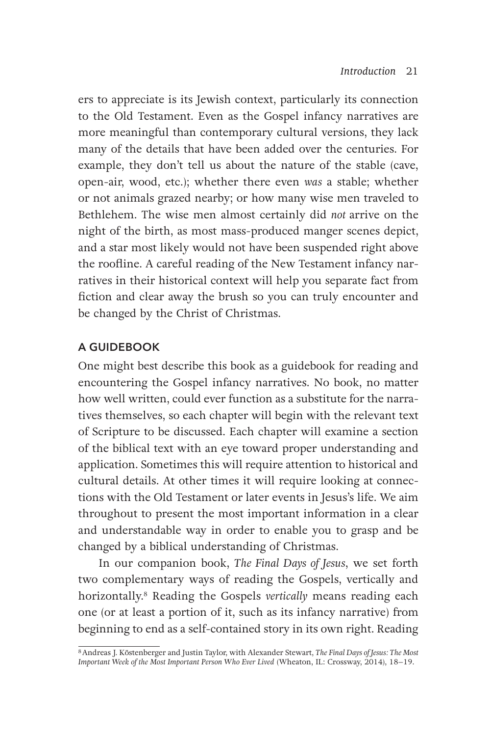ers to appreciate is its Jewish context, particularly its connection to the Old Testament. Even as the Gospel infancy narratives are more meaningful than contemporary cultural versions, they lack many of the details that have been added over the centuries. For example, they don't tell us about the nature of the stable (cave, open-air, wood, etc.); whether there even *was* a stable; whether or not animals grazed nearby; or how many wise men traveled to Bethlehem. The wise men almost certainly did *not* arrive on the night of the birth, as most mass-produced manger scenes depict, and a star most likely would not have been suspended right above the roofline. A careful reading of the New Testament infancy narratives in their historical context will help you separate fact from fiction and clear away the brush so you can truly encounter and be changed by the Christ of Christmas.

#### **A GUIDEBOOK**

One might best describe this book as a guidebook for reading and encountering the Gospel infancy narratives. No book, no matter how well written, could ever function as a substitute for the narratives themselves, so each chapter will begin with the relevant text of Scripture to be discussed. Each chapter will examine a section of the biblical text with an eye toward proper understanding and application. Sometimes this will require attention to historical and cultural details. At other times it will require looking at connections with the Old Testament or later events in Jesus's life. We aim throughout to present the most important information in a clear and understandable way in order to enable you to grasp and be changed by a biblical understanding of Christmas.

In our companion book, *The Final Days of Jesus*, we set forth two complementary ways of reading the Gospels, vertically and horizontally.8 Reading the Gospels *vertically* means reading each one (or at least a portion of it, such as its infancy narrative) from beginning to end as a self-contained story in its own right. Reading

<sup>8</sup>Andreas J. Köstenberger and Justin Taylor, with Alexander Stewart, *The Final Days of Jesus: The Most Important Week of the Most Important Person Who Ever Lived* (Wheaton, IL: Crossway, 2014), 18–19.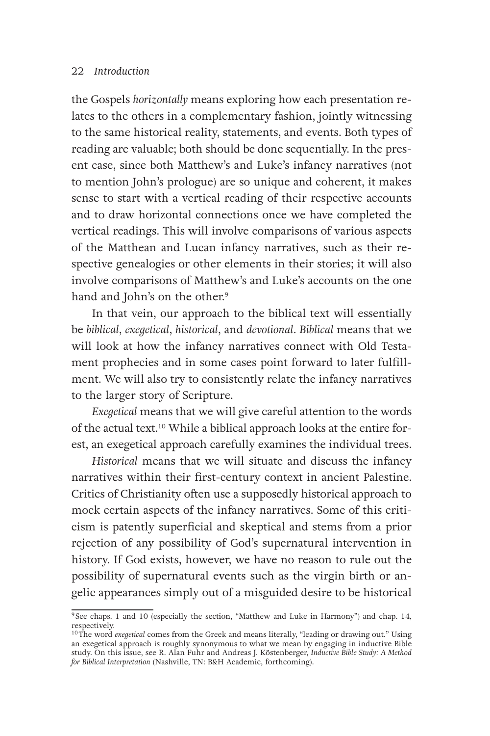#### 22 Introduction

the Gospels *horizontally* means exploring how each presentation relates to the others in a complementary fashion, jointly witnessing to the same historical reality, statements, and events. Both types of reading are valuable; both should be done sequentially. In the present case, since both Matthew's and Luke's infancy narratives (not to mention John's prologue) are so unique and coherent, it makes sense to start with a vertical reading of their respective accounts and to draw horizontal connections once we have completed the vertical readings. This will involve comparisons of various aspects of the Matthean and Lucan infancy narratives, such as their respective genealogies or other elements in their stories; it will also involve comparisons of Matthew's and Luke's accounts on the one hand and John's on the other.<sup>9</sup>

In that vein, our approach to the biblical text will essentially be *biblical*, *exegetical*, *historical*, and *devotional*. *Biblical* means that we will look at how the infancy narratives connect with Old Testament prophecies and in some cases point forward to later fulfillment. We will also try to consistently relate the infancy narratives to the larger story of Scripture.

*Exegetical* means that we will give careful attention to the words of the actual text.10 While a biblical approach looks at the entire forest, an exegetical approach carefully examines the individual trees.

*Historical* means that we will situate and discuss the infancy narratives within their first-century context in ancient Palestine. Critics of Christianity often use a supposedly historical approach to mock certain aspects of the infancy narratives. Some of this criticism is patently superficial and skeptical and stems from a prior rejection of any possibility of God's supernatural intervention in history. If God exists, however, we have no reason to rule out the possibility of supernatural events such as the virgin birth or angelic appearances simply out of a misguided desire to be historical

<sup>9</sup> See chaps. 1 and 10 (especially the section, "Matthew and Luke in Harmony") and chap. 14, respectively.

<sup>10</sup>The word *exegetical* comes from the Greek and means literally, "leading or drawing out." Using an exegetical approach is roughly synonymous to what we mean by engaging in inductive Bible study. On this issue, see R. Alan Fuhr and Andreas J. Köstenberger, *Inductive Bible Study: A Method for Biblical Interpretation* (Nashville, TN: B&H Academic, forthcoming).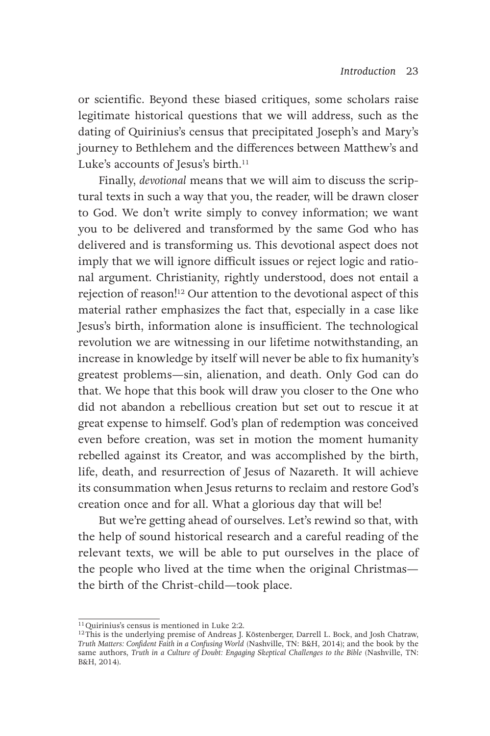or scientific. Beyond these biased critiques, some scholars raise legitimate historical questions that we will address, such as the dating of Quirinius's census that precipitated Joseph's and Mary's journey to Bethlehem and the differences between Matthew's and Luke's accounts of Jesus's birth.<sup>11</sup>

Finally, *devotional* means that we will aim to discuss the scriptural texts in such a way that you, the reader, will be drawn closer to God. We don't write simply to convey information; we want you to be delivered and transformed by the same God who has delivered and is transforming us. This devotional aspect does not imply that we will ignore difficult issues or reject logic and rational argument. Christianity, rightly understood, does not entail a rejection of reason!12 Our attention to the devotional aspect of this material rather emphasizes the fact that, especially in a case like Jesus's birth, information alone is insufficient. The technological revolution we are witnessing in our lifetime notwithstanding, an increase in knowledge by itself will never be able to fix humanity's greatest problems—sin, alienation, and death. Only God can do that. We hope that this book will draw you closer to the One who did not abandon a rebellious creation but set out to rescue it at great expense to himself. God's plan of redemption was conceived even before creation, was set in motion the moment humanity rebelled against its Creator, and was accomplished by the birth, life, death, and resurrection of Jesus of Nazareth. It will achieve its consummation when Jesus returns to reclaim and restore God's creation once and for all. What a glorious day that will be!

But we're getting ahead of ourselves. Let's rewind so that, with the help of sound historical research and a careful reading of the relevant texts, we will be able to put ourselves in the place of the people who lived at the time when the original Christmas the birth of the Christ-child—took place.

<sup>&</sup>lt;sup>11</sup> Quirinius's census is mentioned in Luke 2:2.

<sup>&</sup>lt;sup>12</sup>This is the underlying premise of Andreas J. Köstenberger, Darrell L. Bock, and Josh Chatraw, *Truth Matters: Confident Faith in a Confusing World* (Nashville, TN: B&H, 2014); and the book by the same authors, *Truth in a Culture of Doubt: Engaging Skeptical Challenges to the Bible* (Nashville, TN: B&H, 2014).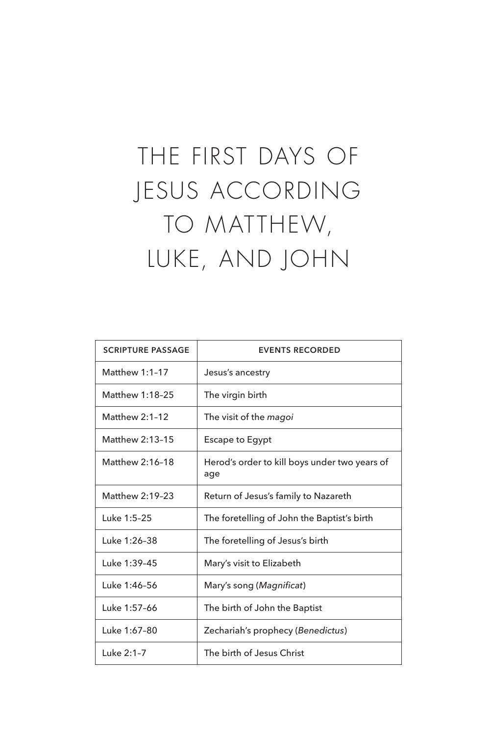### THE FIRST DAYS OF JESUS ACCORDING TO MATTHEW, LUKE, AND JOHN

| <b>SCRIPTURE PASSAGE</b> | <b>EVENTS RECORDED</b>                               |  |  |  |  |
|--------------------------|------------------------------------------------------|--|--|--|--|
| Matthew 1:1-17           | Jesus's ancestry                                     |  |  |  |  |
| Matthew 1:18-25          | The virgin birth                                     |  |  |  |  |
| Matthew $2:1-12$         | The visit of the <i>magoi</i>                        |  |  |  |  |
| Matthew 2:13-15          | Escape to Egypt                                      |  |  |  |  |
| Matthew 2:16-18          | Herod's order to kill boys under two years of<br>age |  |  |  |  |
| Matthew 2:19-23          | Return of Jesus's family to Nazareth                 |  |  |  |  |
| Luke 1:5-25              | The foretelling of John the Baptist's birth          |  |  |  |  |
| Luke 1:26-38             | The foretelling of Jesus's birth                     |  |  |  |  |
| Luke 1:39-45             | Mary's visit to Elizabeth                            |  |  |  |  |
| Luke 1:46-56             | Mary's song (Magnificat)                             |  |  |  |  |
| Luke 1:57-66             | The birth of John the Baptist                        |  |  |  |  |
| Luke 1:67-80             | Zechariah's prophecy (Benedictus)                    |  |  |  |  |
| Luke 2:1-7               | The birth of Jesus Christ                            |  |  |  |  |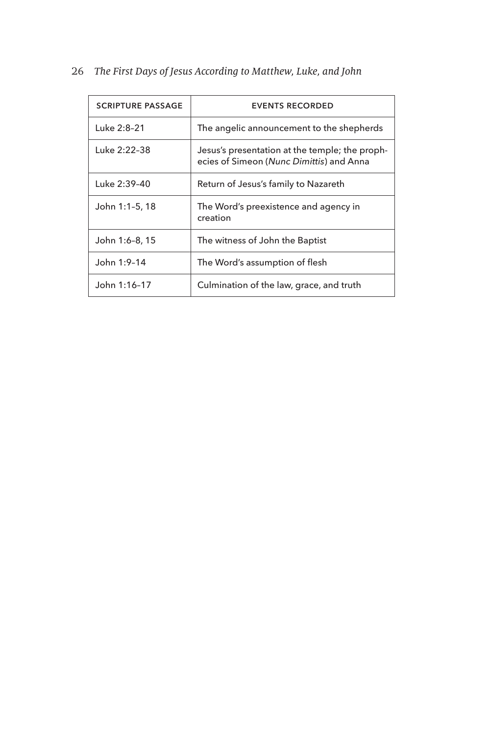| <b>SCRIPTURE PASSAGE</b> | <b>EVENTS RECORDED</b>                                                                     |
|--------------------------|--------------------------------------------------------------------------------------------|
| Luke 2:8-21              | The angelic announcement to the shepherds                                                  |
| Luke 2:22-38             | Jesus's presentation at the temple; the proph-<br>ecies of Simeon (Nunc Dimittis) and Anna |
| Luke 2:39-40             | Return of Jesus's family to Nazareth                                                       |
| John 1:1-5, 18           | The Word's preexistence and agency in<br>creation                                          |
| John 1:6-8, 15           | The witness of John the Baptist                                                            |
| John 1:9-14              | The Word's assumption of flesh                                                             |
| John 1:16-17             | Culmination of the law, grace, and truth                                                   |

#### 26 The First Days of Jesus According to Matthew, Luke, and John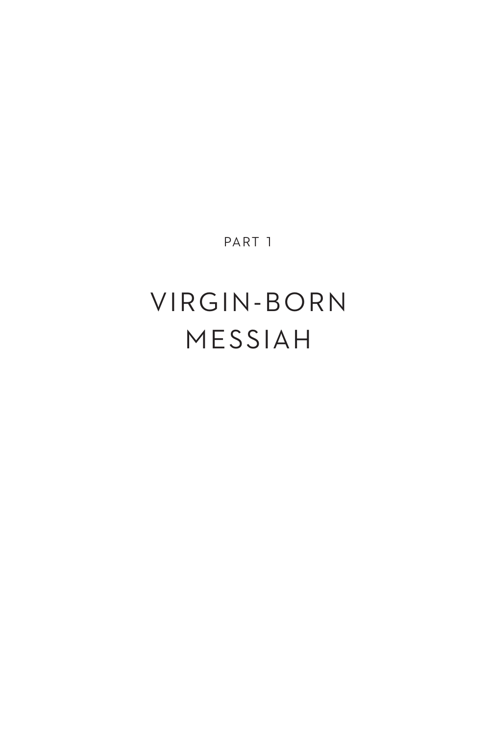PART 1

### VIRGIN - BORN MESSIAH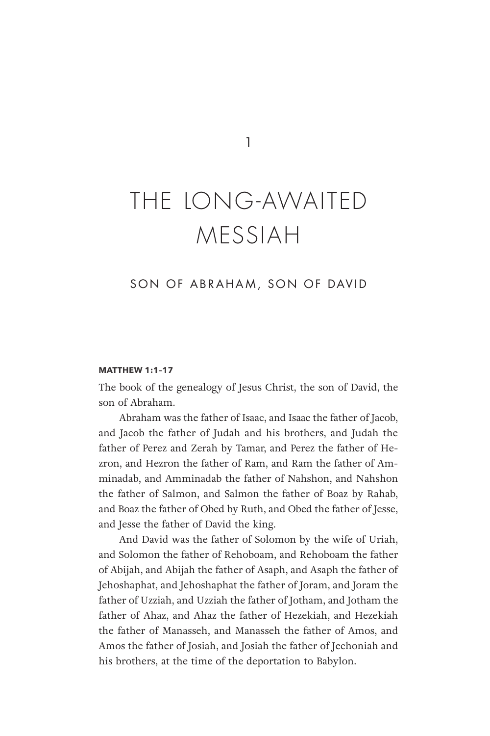1

### THE LONG-AWAITED MESSIAH

#### SON OF ABRAHAM, SON OF DAVID

#### **MATTHEW 1:1–17**

The book of the genealogy of Jesus Christ, the son of David, the son of Abraham.

Abraham was the father of Isaac, and Isaac the father of Jacob, and Jacob the father of Judah and his brothers, and Judah the father of Perez and Zerah by Tamar, and Perez the father of Hezron, and Hezron the father of Ram, and Ram the father of Amminadab, and Amminadab the father of Nahshon, and Nahshon the father of Salmon, and Salmon the father of Boaz by Rahab, and Boaz the father of Obed by Ruth, and Obed the father of Jesse, and Jesse the father of David the king.

And David was the father of Solomon by the wife of Uriah, and Solomon the father of Rehoboam, and Rehoboam the father of Abijah, and Abijah the father of Asaph, and Asaph the father of Jehoshaphat, and Jehoshaphat the father of Joram, and Joram the father of Uzziah, and Uzziah the father of Jotham, and Jotham the father of Ahaz, and Ahaz the father of Hezekiah, and Hezekiah the father of Manasseh, and Manasseh the father of Amos, and Amos the father of Josiah, and Josiah the father of Jechoniah and his brothers, at the time of the deportation to Babylon.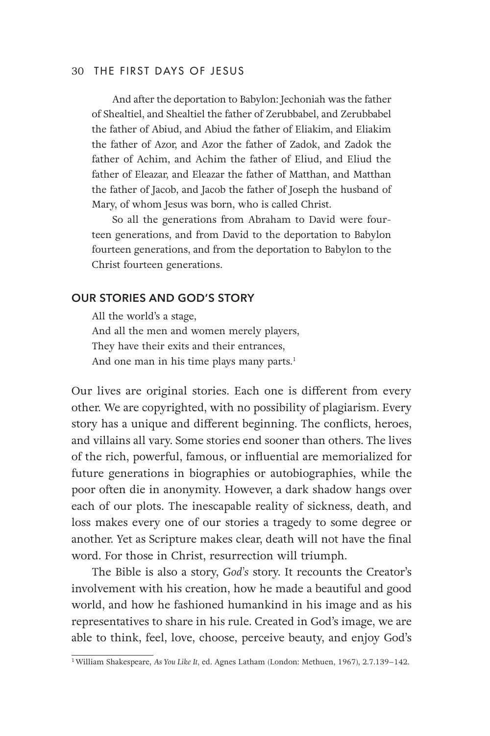#### 30 THE FIRST DAYS OF JESUS

And after the deportation to Babylon: Jechoniah was the father of Shealtiel, and Shealtiel the father of Zerubbabel, and Zerubbabel the father of Abiud, and Abiud the father of Eliakim, and Eliakim the father of Azor, and Azor the father of Zadok, and Zadok the father of Achim, and Achim the father of Eliud, and Eliud the father of Eleazar, and Eleazar the father of Matthan, and Matthan the father of Jacob, and Jacob the father of Joseph the husband of Mary, of whom Jesus was born, who is called Christ.

So all the generations from Abraham to David were fourteen generations, and from David to the deportation to Babylon fourteen generations, and from the deportation to Babylon to the Christ fourteen generations.

#### **OUR STORIES AND GOD'S STORY**

All the world's a stage, And all the men and women merely players, They have their exits and their entrances, And one man in his time plays many parts.<sup>1</sup>

Our lives are original stories. Each one is different from every other. We are copyrighted, with no possibility of plagiarism. Every story has a unique and different beginning. The conflicts, heroes, and villains all vary. Some stories end sooner than others. The lives of the rich, powerful, famous, or influential are memorialized for future generations in biographies or autobiographies, while the poor often die in anonymity. However, a dark shadow hangs over each of our plots. The inescapable reality of sickness, death, and loss makes every one of our stories a tragedy to some degree or another. Yet as Scripture makes clear, death will not have the final word. For those in Christ, resurrection will triumph.

The Bible is also a story, *God's* story. It recounts the Creator's involvement with his creation, how he made a beautiful and good world, and how he fashioned humankind in his image and as his representatives to share in his rule. Created in God's image, we are able to think, feel, love, choose, perceive beauty, and enjoy God's

<sup>1</sup>William Shakespeare, *As You Like It,* ed. Agnes Latham (London: Methuen, 1967), 2.7.139–142.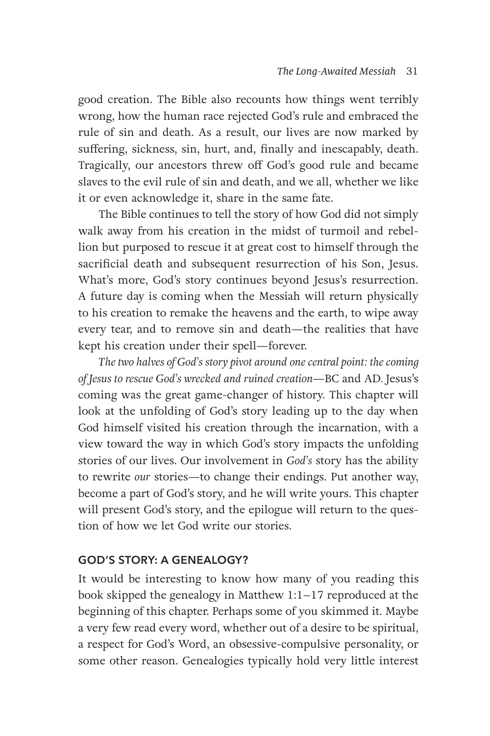good creation. The Bible also recounts how things went terribly wrong, how the human race rejected God's rule and embraced the rule of sin and death. As a result, our lives are now marked by suffering, sickness, sin, hurt, and, finally and inescapably, death. Tragically, our ancestors threw off God's good rule and became slaves to the evil rule of sin and death, and we all, whether we like it or even acknowledge it, share in the same fate.

The Bible continues to tell the story of how God did not simply walk away from his creation in the midst of turmoil and rebellion but purposed to rescue it at great cost to himself through the sacrificial death and subsequent resurrection of his Son, Jesus. What's more, God's story continues beyond Jesus's resurrection. A future day is coming when the Messiah will return physically to his creation to remake the heavens and the earth, to wipe away every tear, and to remove sin and death—the realities that have kept his creation under their spell—forever.

*The two halves of God's story pivot around one central point: the coming of Jesus to rescue God's wrecked and ruined creation*—BC and AD*.* Jesus's coming was the great game-changer of history. This chapter will look at the unfolding of God's story leading up to the day when God himself visited his creation through the incarnation, with a view toward the way in which God's story impacts the unfolding stories of our lives. Our involvement in *God's* story has the ability to rewrite *our* stories—to change their endings. Put another way, become a part of God's story, and he will write yours. This chapter will present God's story, and the epilogue will return to the question of how we let God write our stories.

#### **GOD'S STORY: A GENEALOGY?**

It would be interesting to know how many of you reading this book skipped the genealogy in Matthew 1:1–17 reproduced at the beginning of this chapter. Perhaps some of you skimmed it. Maybe a very few read every word, whether out of a desire to be spiritual, a respect for God's Word, an obsessive-compulsive personality, or some other reason. Genealogies typically hold very little interest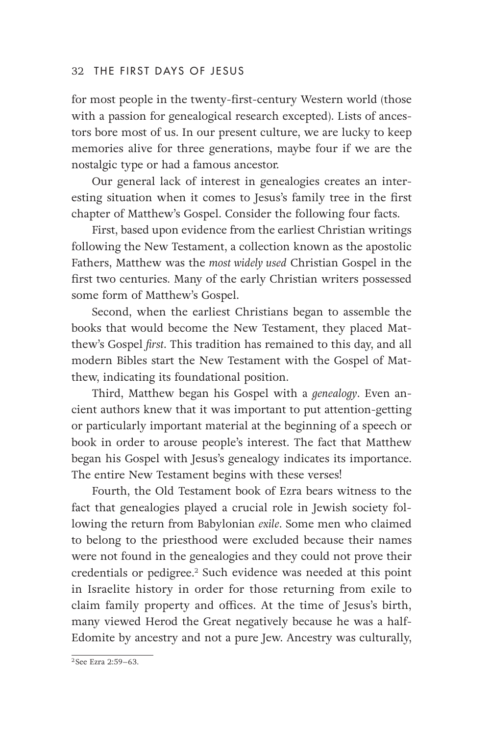#### 32 THE FIRST DAYS OF JESUS

for most people in the twenty-first-century Western world (those with a passion for genealogical research excepted). Lists of ancestors bore most of us. In our present culture, we are lucky to keep memories alive for three generations, maybe four if we are the nostalgic type or had a famous ancestor.

Our general lack of interest in genealogies creates an interesting situation when it comes to Jesus's family tree in the first chapter of Matthew's Gospel. Consider the following four facts.

First, based upon evidence from the earliest Christian writings following the New Testament, a collection known as the apostolic Fathers, Matthew was the *most widely used* Christian Gospel in the first two centuries. Many of the early Christian writers possessed some form of Matthew's Gospel.

Second, when the earliest Christians began to assemble the books that would become the New Testament, they placed Matthew's Gospel *first*. This tradition has remained to this day, and all modern Bibles start the New Testament with the Gospel of Matthew, indicating its foundational position.

Third, Matthew began his Gospel with a *genealogy*. Even ancient authors knew that it was important to put attention-getting or particularly important material at the beginning of a speech or book in order to arouse people's interest. The fact that Matthew began his Gospel with Jesus's genealogy indicates its importance. The entire New Testament begins with these verses!

Fourth, the Old Testament book of Ezra bears witness to the fact that genealogies played a crucial role in Jewish society following the return from Babylonian *exile*. Some men who claimed to belong to the priesthood were excluded because their names were not found in the genealogies and they could not prove their credentials or pedigree.2 Such evidence was needed at this point in Israelite history in order for those returning from exile to claim family property and offices. At the time of Jesus's birth, many viewed Herod the Great negatively because he was a half-Edomite by ancestry and not a pure Jew. Ancestry was culturally,

<sup>2</sup> See Ezra 2:59–63.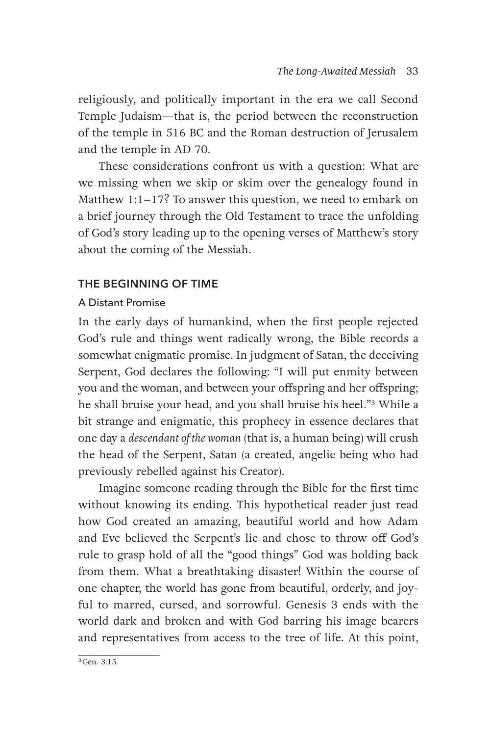religiously, and politically important in the era we call Second Temple Judaism—that is, the period between the reconstruction of the temple in 516 BC and the Roman destruction of Jerusalem and the temple in AD 70.

These considerations confront us with a question: What are we missing when we skip or skim over the genealogy found in Matthew 1:1–17? To answer this question, we need to embark on a brief journey through the Old Testament to trace the unfolding of God's story leading up to the opening verses of Matthew's story about the coming of the Messiah.

#### **THE BEGINNING OF TIME**

#### A Distant Promise

In the early days of humankind, when the first people rejected God's rule and things went radically wrong, the Bible records a somewhat enigmatic promise. In judgment of Satan, the deceiving Serpent, God declares the following: "I will put enmity between you and the woman, and between your offspring and her offspring; he shall bruise your head, and you shall bruise his heel."3 While a bit strange and enigmatic, this prophecy in essence declares that one day a *descendant of the woman* (that is, a human being) will crush the head of the Serpent, Satan (a created, angelic being who had previously rebelled against his Creator).

Imagine someone reading through the Bible for the first time without knowing its ending. This hypothetical reader just read how God created an amazing, beautiful world and how Adam and Eve believed the Serpent's lie and chose to throw off God's rule to grasp hold of all the "good things" God was holding back from them. What a breathtaking disaster! Within the course of one chapter, the world has gone from beautiful, orderly, and joyful to marred, cursed, and sorrowful. Genesis 3 ends with the world dark and broken and with God barring his image bearers and representatives from access to the tree of life. At this point,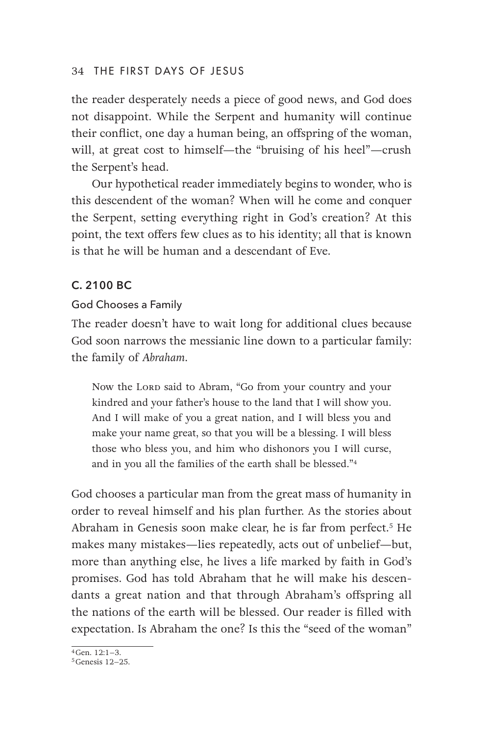#### 34 THE FIRST DAYS OF JESUS

the reader desperately needs a piece of good news, and God does not disappoint. While the Serpent and humanity will continue their conflict, one day a human being, an offspring of the woman, will, at great cost to himself—the "bruising of his heel"—crush the Serpent's head.

Our hypothetical reader immediately begins to wonder, who is this descendent of the woman? When will he come and conquer the Serpent, setting everything right in God's creation? At this point, the text offers few clues as to his identity; all that is known is that he will be human and a descendant of Eve.

#### **C. 2100 BC**

#### God Chooses a Family

The reader doesn't have to wait long for additional clues because God soon narrows the messianic line down to a particular family: the family of *Abraham*.

Now the Lorp said to Abram, "Go from your country and your kindred and your father's house to the land that I will show you. And I will make of you a great nation, and I will bless you and make your name great, so that you will be a blessing. I will bless those who bless you, and him who dishonors you I will curse, and in you all the families of the earth shall be blessed."4

God chooses a particular man from the great mass of humanity in order to reveal himself and his plan further. As the stories about Abraham in Genesis soon make clear, he is far from perfect.<sup>5</sup> He makes many mistakes—lies repeatedly, acts out of unbelief—but, more than anything else, he lives a life marked by faith in God's promises. God has told Abraham that he will make his descendants a great nation and that through Abraham's offspring all the nations of the earth will be blessed. Our reader is filled with expectation. Is Abraham the one? Is this the "seed of the woman"

 $4$ Gen.  $12:1-3$ .

<sup>5</sup>Genesis 12–25.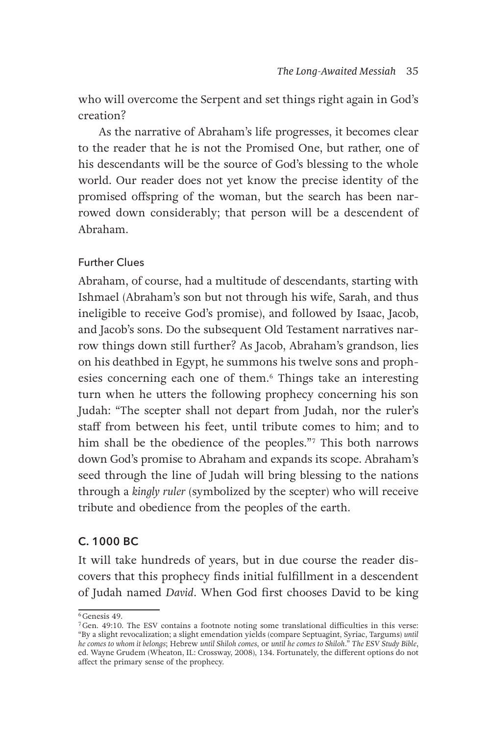who will overcome the Serpent and set things right again in God's creation?

As the narrative of Abraham's life progresses, it becomes clear to the reader that he is not the Promised One, but rather, one of his descendants will be the source of God's blessing to the whole world. Our reader does not yet know the precise identity of the promised offspring of the woman, but the search has been narrowed down considerably; that person will be a descendent of Abraham.

#### Further Clues

Abraham, of course, had a multitude of descendants, starting with Ishmael (Abraham's son but not through his wife, Sarah, and thus ineligible to receive God's promise), and followed by Isaac, Jacob, and Jacob's sons. Do the subsequent Old Testament narratives narrow things down still further? As Jacob, Abraham's grandson, lies on his deathbed in Egypt, he summons his twelve sons and prophesies concerning each one of them.<sup>6</sup> Things take an interesting turn when he utters the following prophecy concerning his son Judah: "The scepter shall not depart from Judah, nor the ruler's staff from between his feet, until tribute comes to him; and to him shall be the obedience of the peoples."7 This both narrows down God's promise to Abraham and expands its scope. Abraham's seed through the line of Judah will bring blessing to the nations through a *kingly ruler* (symbolized by the scepter) who will receive tribute and obedience from the peoples of the earth.

#### **C. 1000 BC**

It will take hundreds of years, but in due course the reader discovers that this prophecy finds initial fulfillment in a descendent of Judah named *David*. When God first chooses David to be king

<sup>6</sup>Genesis 49.

 $7$ Gen. 49:10. The ESV contains a footnote noting some translational difficulties in this verse: "By a slight revocalization; a slight emendation yields (compare Septuagint, Syriac, Targums) *until*  he comes to whom it belongs; Hebrew until Shiloh comes, or until he comes to Shiloh." The ESV Study Bible,<br>ed. Wayne Grudem (Wheaton, IL: Crossway, 2008), 134. Fortunately, the different options do not affect the primary sense of the prophecy.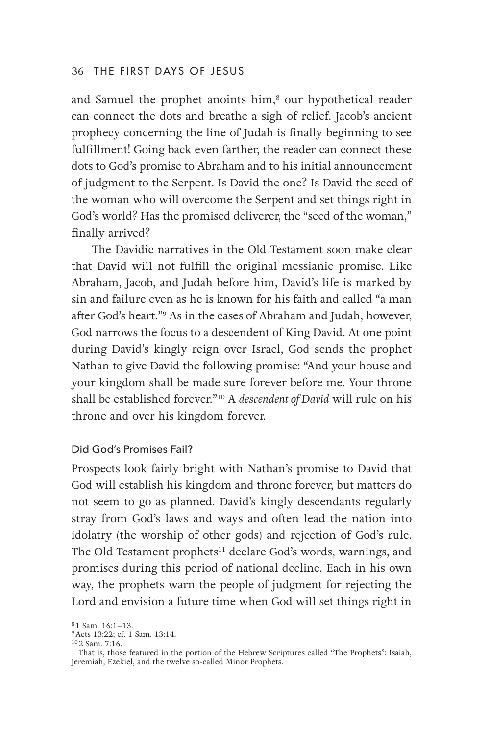#### 36 THE FIRST DAYS OF JESUS

and Samuel the prophet anoints him,<sup>8</sup> our hypothetical reader can connect the dots and breathe a sigh of relief. Jacob's ancient prophecy concerning the line of Judah is finally beginning to see fulfillment! Going back even farther, the reader can connect these dots to God's promise to Abraham and to his initial announcement of judgment to the Serpent. Is David the one? Is David the seed of the woman who will overcome the Serpent and set things right in God's world? Has the promised deliverer, the "seed of the woman," finally arrived?

The Davidic narratives in the Old Testament soon make clear that David will not fulfill the original messianic promise. Like Abraham, Jacob, and Judah before him, David's life is marked by sin and failure even as he is known for his faith and called "a man after God's heart."9 As in the cases of Abraham and Judah, however, God narrows the focus to a descendent of King David. At one point during David's kingly reign over Israel, God sends the prophet Nathan to give David the following promise: "And your house and your kingdom shall be made sure forever before me. Your throne shall be established forever."10 A *descendent of David* will rule on his throne and over his kingdom forever.

#### Did God's Promises Fail?

Prospects look fairly bright with Nathan's promise to David that God will establish his kingdom and throne forever, but matters do not seem to go as planned. David's kingly descendants regularly stray from God's laws and ways and often lead the nation into idolatry (the worship of other gods) and rejection of God's rule. The Old Testament prophets<sup>11</sup> declare God's words, warnings, and promises during this period of national decline. Each in his own way, the prophets warn the people of judgment for rejecting the Lord and envision a future time when God will set things right in

<sup>8</sup> 1 Sam. 16:1–13.

<sup>9</sup>Acts 13:22; cf. 1 Sam. 13:14.

<sup>10</sup> 2 Sam. 7:16.

<sup>&</sup>lt;sup>11</sup> That is, those featured in the portion of the Hebrew Scriptures called "The Prophets": Isaiah, Jeremiah, Ezekiel, and the twelve so-called Minor Prophets.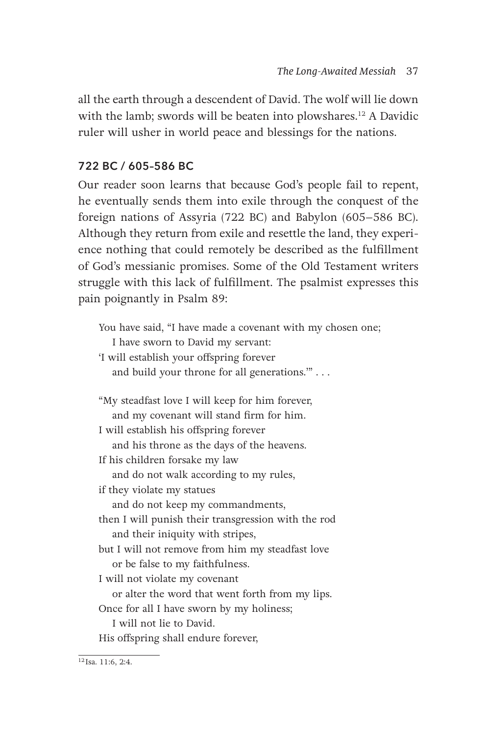all the earth through a descendent of David. The wolf will lie down with the lamb; swords will be beaten into plowshares.<sup>12</sup> A Davidic ruler will usher in world peace and blessings for the nations.

#### **722 BC / 605–586 BC**

Our reader soon learns that because God's people fail to repent, he eventually sends them into exile through the conquest of the foreign nations of Assyria (722 BC) and Babylon (605–586 BC). Although they return from exile and resettle the land, they experience nothing that could remotely be described as the fulfillment of God's messianic promises. Some of the Old Testament writers struggle with this lack of fulfillment. The psalmist expresses this pain poignantly in Psalm 89:

You have said, "I have made a covenant with my chosen one; I have sworn to David my servant: 'I will establish your offspring forever and build your throne for all generations.'" . . . "My steadfast love I will keep for him forever, and my covenant will stand firm for him. I will establish his offspring forever and his throne as the days of the heavens. If his children forsake my law and do not walk according to my rules, if they violate my statues and do not keep my commandments, then I will punish their transgression with the rod and their iniquity with stripes, but I will not remove from him my steadfast love or be false to my faithfulness. I will not violate my covenant or alter the word that went forth from my lips. Once for all I have sworn by my holiness; I will not lie to David. His offspring shall endure forever,

 $12$  Isa. 11:6, 2:4.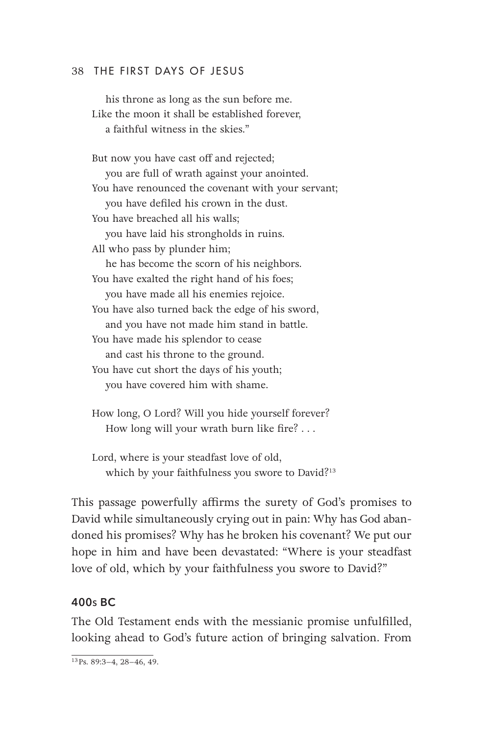#### 38 THE FIRST DAYS OF JESUS

his throne as long as the sun before me. Like the moon it shall be established forever, a faithful witness in the skies."

But now you have cast off and rejected; you are full of wrath against your anointed. You have renounced the covenant with your servant; you have defiled his crown in the dust. You have breached all his walls; you have laid his strongholds in ruins. All who pass by plunder him; he has become the scorn of his neighbors. You have exalted the right hand of his foes; you have made all his enemies rejoice. You have also turned back the edge of his sword, and you have not made him stand in battle. You have made his splendor to cease and cast his throne to the ground. You have cut short the days of his youth; you have covered him with shame.

How long, O Lord? Will you hide yourself forever? How long will your wrath burn like fire? . . .

Lord, where is your steadfast love of old, which by your faithfulness you swore to David?<sup>13</sup>

This passage powerfully affirms the surety of God's promises to David while simultaneously crying out in pain: Why has God abandoned his promises? Why has he broken his covenant? We put our hope in him and have been devastated: "Where is your steadfast love of old, which by your faithfulness you swore to David?"

#### **400s BC**

The Old Testament ends with the messianic promise unfulfilled, looking ahead to God's future action of bringing salvation. From

 $\frac{13 \text{Ps}}{13 \text{Ps}}$ , 89:3-4, 28-46, 49.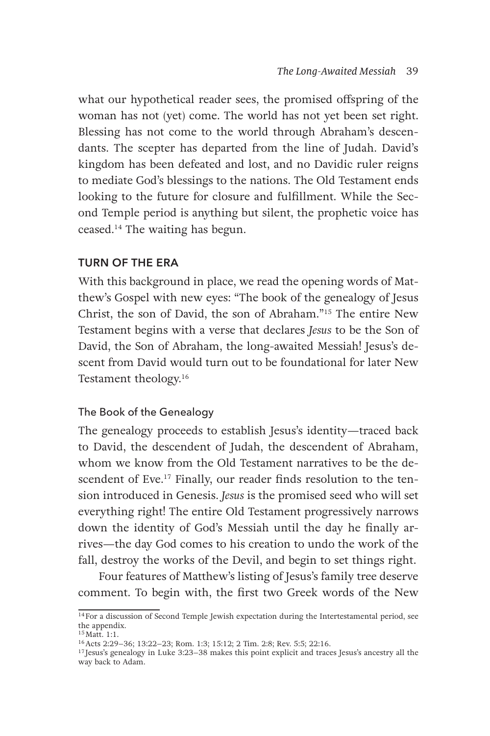what our hypothetical reader sees, the promised offspring of the woman has not (yet) come. The world has not yet been set right. Blessing has not come to the world through Abraham's descendants. The scepter has departed from the line of Judah. David's kingdom has been defeated and lost, and no Davidic ruler reigns to mediate God's blessings to the nations. The Old Testament ends looking to the future for closure and fulfillment. While the Second Temple period is anything but silent, the prophetic voice has ceased.14 The waiting has begun.

#### **TURN OF THE ERA**

With this background in place, we read the opening words of Matthew's Gospel with new eyes: "The book of the genealogy of Jesus Christ, the son of David, the son of Abraham."15 The entire New Testament begins with a verse that declares *Jesus* to be the Son of David, the Son of Abraham, the long-awaited Messiah! Jesus's descent from David would turn out to be foundational for later New Testament theology.16

#### The Book of the Genealogy

The genealogy proceeds to establish Jesus's identity—traced back to David, the descendent of Judah, the descendent of Abraham, whom we know from the Old Testament narratives to be the descendent of Eve.<sup>17</sup> Finally, our reader finds resolution to the tension introduced in Genesis. *Jesus* is the promised seed who will set everything right! The entire Old Testament progressively narrows down the identity of God's Messiah until the day he finally arrives—the day God comes to his creation to undo the work of the fall, destroy the works of the Devil, and begin to set things right.

Four features of Matthew's listing of Jesus's family tree deserve comment. To begin with, the first two Greek words of the New

<sup>&</sup>lt;sup>14</sup>For a discussion of Second Temple Jewish expectation during the Intertestamental period, see the appendix.

<sup>15</sup>Matt. 1:1.

<sup>16</sup>Acts 2:29–36; 13:22–23; Rom. 1:3; 15:12; 2 Tim. 2:8; Rev. 5:5; 22:16.

<sup>&</sup>lt;sup>17</sup> Jesus's genealogy in Luke 3:23–38 makes this point explicit and traces Jesus's ancestry all the way back to Adam.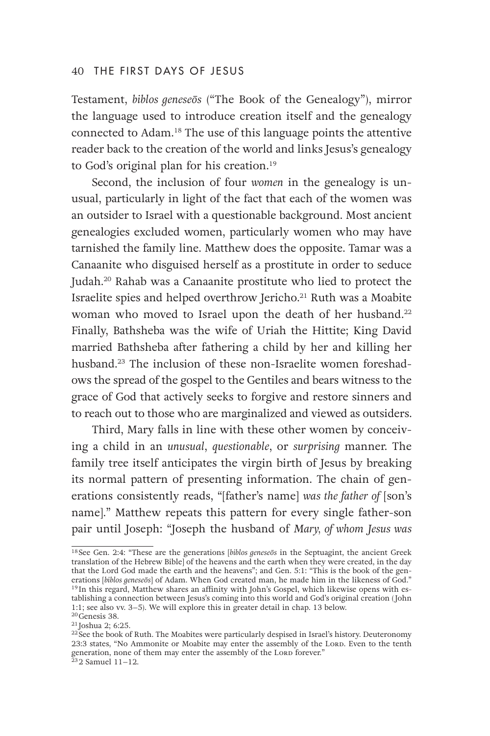#### 40 THE FIRST DAYS OF JESUS

Testament, *biblos geneseōs* ("The Book of the Genealogy"), mirror the language used to introduce creation itself and the genealogy connected to Adam.18 The use of this language points the attentive reader back to the creation of the world and links Jesus's genealogy to God's original plan for his creation.19

Second, the inclusion of four *women* in the genealogy is unusual, particularly in light of the fact that each of the women was an outsider to Israel with a questionable background. Most ancient genealogies excluded women, particularly women who may have tarnished the family line. Matthew does the opposite. Tamar was a Canaanite who disguised herself as a prostitute in order to seduce Judah.20 Rahab was a Canaanite prostitute who lied to protect the Israelite spies and helped overthrow Jericho.21 Ruth was a Moabite woman who moved to Israel upon the death of her husband.<sup>22</sup> Finally, Bathsheba was the wife of Uriah the Hittite; King David married Bathsheba after fathering a child by her and killing her husband.23 The inclusion of these non-Israelite women foreshadows the spread of the gospel to the Gentiles and bears witness to the grace of God that actively seeks to forgive and restore sinners and to reach out to those who are marginalized and viewed as outsiders.

Third, Mary falls in line with these other women by conceiving a child in an *unusual*, *questionable*, or *surprising* manner. The family tree itself anticipates the virgin birth of Jesus by breaking its normal pattern of presenting information. The chain of generations consistently reads, "[father's name] *was the father of* [son's name]." Matthew repeats this pattern for every single father-son pair until Joseph: "Joseph the husband of *Mary, of whom Jesus was* 

<sup>18</sup> See Gen. 2:4: "These are the generations [*biblos geneseōs* in the Septuagint, the ancient Greek translation of the Hebrew Bible] of the heavens and the earth when they were created, in the day that the Lord God made the earth and the heavens"; and Gen. 5:1: "This is the book of the generations [biblos geneseōs] of Adam. When God created man, he made him in the likeness of God." <sup>19</sup> In this regard, Matthew shares an affinity with John's Gospel, which likewise opens with establishing a connection between Jesus's coming into this world and God's original creation (John 1:1; see also vv. 3–5). We will explore this in greater detail in chap. 13 below.

<sup>20</sup>Genesis 38.

<sup>&</sup>lt;sup>21</sup> Joshua 2; 6:25.

<sup>&</sup>lt;sup>22</sup> See the book of Ruth. The Moabites were particularly despised in Israel's history. Deuteronomy 23:3 states, "No Ammonite or Moabite may enter the assembly of the Lord. Even to the tenth generation, none of them may enter the assembly of the Lord forever."<br><sup>23</sup> 2 Samuel 11–12.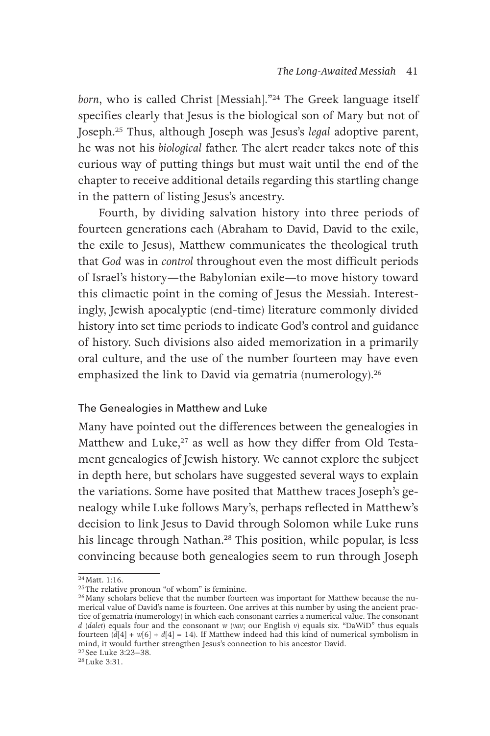*born*, who is called Christ [Messiah]."24 The Greek language itself specifies clearly that Jesus is the biological son of Mary but not of Joseph.25 Thus, although Joseph was Jesus's *legal* adoptive parent, he was not his *biological* father. The alert reader takes note of this curious way of putting things but must wait until the end of the chapter to receive additional details regarding this startling change in the pattern of listing Jesus's ancestry.

Fourth, by dividing salvation history into three periods of fourteen generations each (Abraham to David, David to the exile, the exile to Jesus), Matthew communicates the theological truth that *God* was in *control* throughout even the most difficult periods of Israel's history—the Babylonian exile—to move history toward this climactic point in the coming of Jesus the Messiah. Interestingly, Jewish apocalyptic (end-time) literature commonly divided history into set time periods to indicate God's control and guidance of history. Such divisions also aided memorization in a primarily oral culture, and the use of the number fourteen may have even emphasized the link to David via gematria (numerology).<sup>26</sup>

#### The Genealogies in Matthew and Luke

Many have pointed out the differences between the genealogies in Matthew and Luke, $27$  as well as how they differ from Old Testament genealogies of Jewish history. We cannot explore the subject in depth here, but scholars have suggested several ways to explain the variations. Some have posited that Matthew traces Joseph's genealogy while Luke follows Mary's, perhaps reflected in Matthew's decision to link Jesus to David through Solomon while Luke runs his lineage through Nathan.<sup>28</sup> This position, while popular, is less convincing because both genealogies seem to run through Joseph

 $24$  Matt. 1:16.

<sup>25</sup>The relative pronoun "of whom" is feminine.

<sup>&</sup>lt;sup>26</sup>Many scholars believe that the number fourteen was important for Matthew because the numerical value of David's name is fourteen. One arrives at this number by using the ancient practice of gematria (numerology) in which each consonant carries a numerical value. The consonant *d* (*dalet*) equals four and the consonant *w* (*vav*; our English *v*) equals six. "DaWiD" thus equals fourteen  $(\tilde{d}[4] + w[6] + d[4] = 14)$ . If Matthew indeed had this kind of numerical symbolism in mind, it would further strengthen Jesus's connection to his ancestor David. <sup>27</sup> See Luke 3:23–38.

<sup>28</sup>Luke 3:31.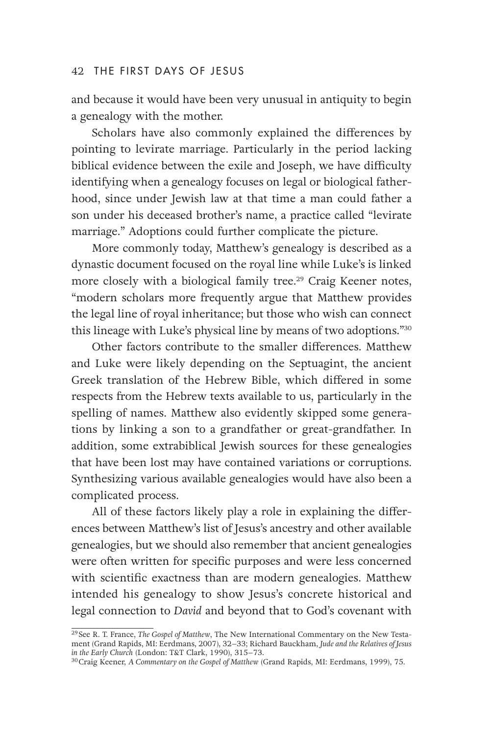#### 42 THE FIRST DAYS OF JESUS

and because it would have been very unusual in antiquity to begin a genealogy with the mother.

Scholars have also commonly explained the differences by pointing to levirate marriage. Particularly in the period lacking biblical evidence between the exile and Joseph, we have difficulty identifying when a genealogy focuses on legal or biological fatherhood, since under Jewish law at that time a man could father a son under his deceased brother's name, a practice called "levirate marriage." Adoptions could further complicate the picture.

More commonly today, Matthew's genealogy is described as a dynastic document focused on the royal line while Luke's is linked more closely with a biological family tree.<sup>29</sup> Craig Keener notes, "modern scholars more frequently argue that Matthew provides the legal line of royal inheritance; but those who wish can connect this lineage with Luke's physical line by means of two adoptions."30

Other factors contribute to the smaller differences. Matthew and Luke were likely depending on the Septuagint, the ancient Greek translation of the Hebrew Bible, which differed in some respects from the Hebrew texts available to us, particularly in the spelling of names. Matthew also evidently skipped some generations by linking a son to a grandfather or great-grandfather. In addition, some extrabiblical Jewish sources for these genealogies that have been lost may have contained variations or corruptions. Synthesizing various available genealogies would have also been a complicated process.

All of these factors likely play a role in explaining the differences between Matthew's list of Jesus's ancestry and other available genealogies, but we should also remember that ancient genealogies were often written for specific purposes and were less concerned with scientific exactness than are modern genealogies. Matthew intended his genealogy to show Jesus's concrete historical and legal connection to *David* and beyond that to God's covenant with

<sup>29</sup> See R. T. France, *The Gospel of Matthew*, The New International Commentary on the New Testament (Grand Rapids, MI: Eerdmans, 2007), 32–33; Richard Bauckham, *Jude and the Relatives of Jesus in the Early Church* (London: T&T Clark, 1990), 315–73.

<sup>30</sup>Craig Keener, *A Commentary on the Gospel of Matthew* (Grand Rapids, MI: Eerdmans, 1999), 75.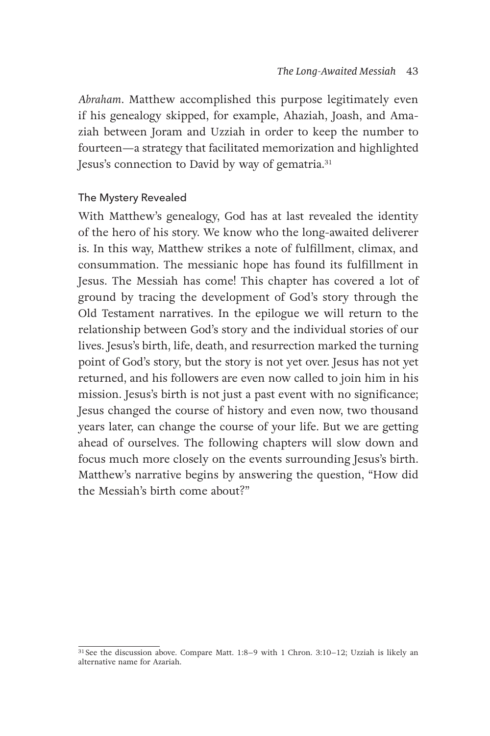*Abraham*. Matthew accomplished this purpose legitimately even if his genealogy skipped, for example, Ahaziah, Joash, and Amaziah between Joram and Uzziah in order to keep the number to fourteen—a strategy that facilitated memorization and highlighted Jesus's connection to David by way of gematria.<sup>31</sup>

#### The Mystery Revealed

With Matthew's genealogy, God has at last revealed the identity of the hero of his story. We know who the long-awaited deliverer is. In this way, Matthew strikes a note of fulfillment, climax, and consummation. The messianic hope has found its fulfillment in Jesus. The Messiah has come! This chapter has covered a lot of ground by tracing the development of God's story through the Old Testament narratives. In the epilogue we will return to the relationship between God's story and the individual stories of our lives. Jesus's birth, life, death, and resurrection marked the turning point of God's story, but the story is not yet over. Jesus has not yet returned, and his followers are even now called to join him in his mission. Jesus's birth is not just a past event with no significance; Jesus changed the course of history and even now, two thousand years later, can change the course of your life. But we are getting ahead of ourselves. The following chapters will slow down and focus much more closely on the events surrounding Jesus's birth. Matthew's narrative begins by answering the question, "How did the Messiah's birth come about?"

 $31$  See the discussion above. Compare Matt. 1:8–9 with 1 Chron.  $3:10-12$ ; Uzziah is likely an alternative name for Azariah.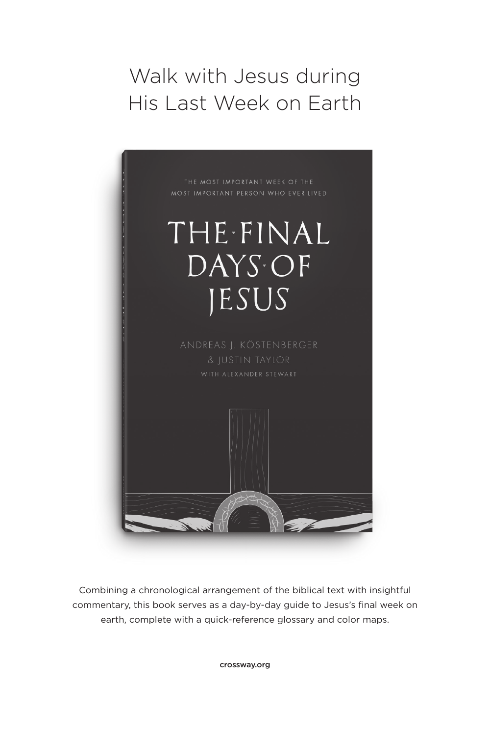### Walk with Jesus during His Last Week on Earth



Combining a chronological arrangement of the biblical text with insightful commentary, this book serves as a day-by-day guide to Jesus's final week on earth, complete with a quick-reference glossary and color maps.

crossway.org